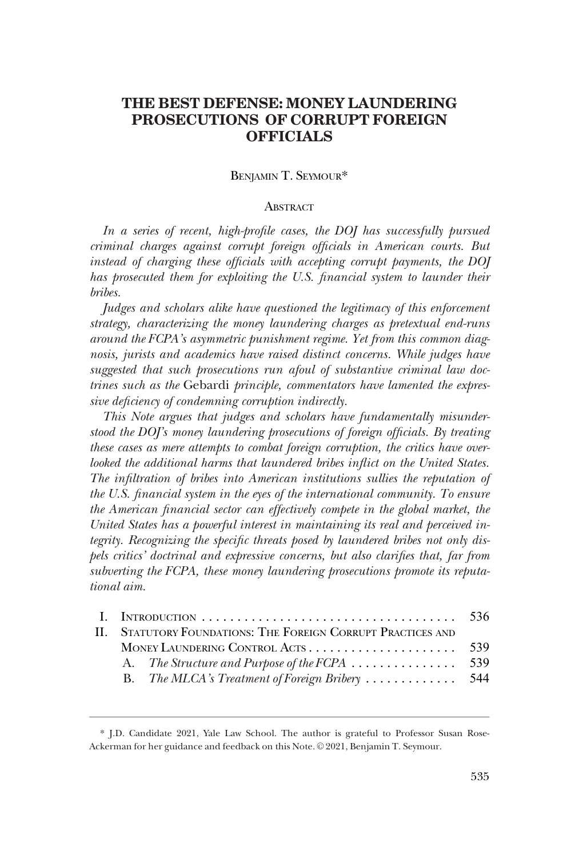# **THE BEST DEFENSE: MONEY LAUNDERING PROSECUTIONS OF CORRUPT FOREIGN OFFICIALS**

# BENJAMIN T. SEYMOUR\*

## **ABSTRACT**

*In a series of recent, high-profile cases, the DOJ has successfully pursued criminal charges against corrupt foreign officials in American courts. But instead of charging these officials with accepting corrupt payments, the DOJ has prosecuted them for exploiting the U.S. financial system to launder their bribes.* 

*Judges and scholars alike have questioned the legitimacy of this enforcement strategy, characterizing the money laundering charges as pretextual end-runs around the FCPA's asymmetric punishment regime. Yet from this common diag*nosis, jurists and academics have raised distinct concerns. While judges have *suggested that such prosecutions run afoul of substantive criminal law doctrines such as the* Gebardi *principle, commentators have lamented the expressive deficiency of condemning corruption indirectly.* 

*This Note argues that judges and scholars have fundamentally misunderstood the DOJ's money laundering prosecutions of foreign officials. By treating these cases as mere attempts to combat foreign corruption, the critics have overlooked the additional harms that laundered bribes inflict on the United States. The infiltration of bribes into American institutions sullies the reputation of the U.S. financial system in the eyes of the international community. To ensure the American financial sector can effectively compete in the global market, the United States has a powerful interest in maintaining its real and perceived integrity. Recognizing the specific threats posed by laundered bribes not only dispels critics' doctrinal and expressive concerns, but also clarifies that, far from subverting the FCPA, these money laundering prosecutions promote its reputational aim.* 

| II. STATUTORY FOUNDATIONS: THE FOREIGN CORRUPT PRACTICES AND |  |  |
|--------------------------------------------------------------|--|--|
|                                                              |  |  |
|                                                              |  |  |
|                                                              |  |  |
|                                                              |  |  |

<sup>\*</sup> J.D. Candidate 2021, Yale Law School. The author is grateful to Professor Susan Rose-Ackerman for her guidance and feedback on this Note. © 2021, Benjamin T. Seymour.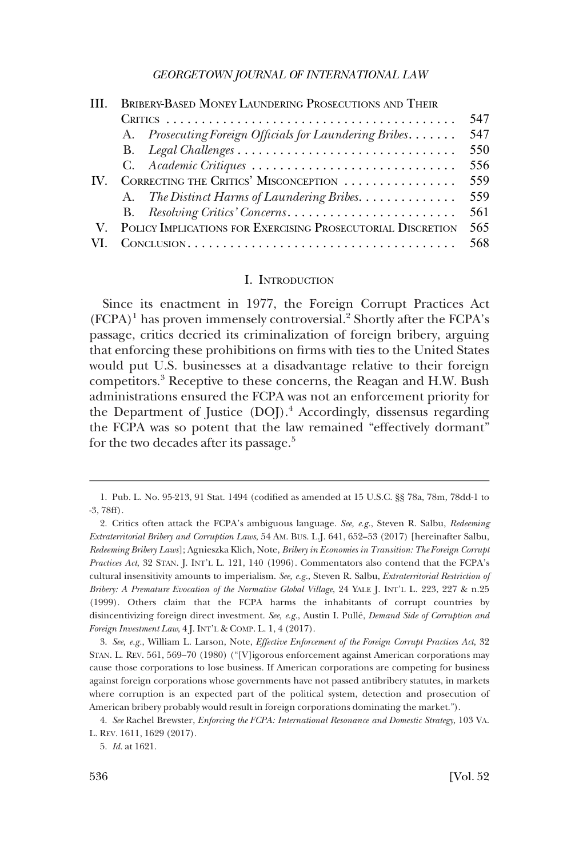<span id="page-1-0"></span>

|     | <b>BRIBERY-BASED MONEY LAUNDERING PROSECUTIONS AND THEIR</b>   |     |  |  |
|-----|----------------------------------------------------------------|-----|--|--|
|     |                                                                |     |  |  |
|     | A. Prosecuting Foreign Officials for Laundering Bribes         | 547 |  |  |
|     |                                                                | 550 |  |  |
|     | C. Academic Critiques                                          | 556 |  |  |
| IV. | CORRECTING THE CRITICS' MISCONCEPTION                          |     |  |  |
|     | A. The Distinct Harms of Laundering Bribes.                    | 559 |  |  |
|     |                                                                | 561 |  |  |
|     | V. POLICY IMPLICATIONS FOR EXERCISING PROSECUTORIAL DISCRETION | 565 |  |  |
|     |                                                                | 568 |  |  |

#### I. INTRODUCTION

Since its enactment in 1977, the Foreign Corrupt Practices Act  $(FCPA)^1$  has proven immensely controversial.<sup>2</sup> Shortly after the FCPA's passage, critics decried its criminalization of foreign bribery, arguing that enforcing these prohibitions on firms with ties to the United States would put U.S. businesses at a disadvantage relative to their foreign competitors.3 Receptive to these concerns, the Reagan and H.W. Bush administrations ensured the FCPA was not an enforcement priority for the Department of Justice (DOJ).4 Accordingly, dissensus regarding the FCPA was so potent that the law remained "effectively dormant" for the two decades after its passage.<sup>5</sup>

<sup>1.</sup> Pub. L. No. 95-213, 91 Stat. 1494 (codified as amended at 15 U.S.C. §§ 78a, 78m, 78dd-1 to -3, 78ff).

<sup>2.</sup> Critics often attack the FCPA's ambiguous language. *See, e.g.*, Steven R. Salbu, *Redeeming Extraterritorial Bribery and Corruption Laws*, 54 AM. BUS. L.J. 641, 652–53 (2017) [hereinafter Salbu, *Redeeming Bribery Laws*]; Agnieszka Klich, Note, *Bribery in Economies in Transition: The Foreign Corrupt Practices Act*, 32 STAN. J. INT'L L. 121, 140 (1996). Commentators also contend that the FCPA's cultural insensitivity amounts to imperialism. *See, e.g.*, Steven R. Salbu, *Extraterritorial Restriction of Bribery: A Premature Evocation of the Normative Global Village*, 24 YALE J. INT'L L. 223, 227 & n.25 (1999). Others claim that the FCPA harms the inhabitants of corrupt countries by disincentivizing foreign direct investment. *See, e.g.*, Austin I. Pulle´, *Demand Side of Corruption and Foreign Investment Law*, 4 J. INT'L & COMP. L. 1, 4 (2017).

<sup>3.</sup> *See, e.g.*, William L. Larson, Note, *Effective Enforcement of the Foreign Corrupt Practices Act*, 32 STAN. L. REV. 561, 569–70 (1980) ("[V]igorous enforcement against American corporations may cause those corporations to lose business. If American corporations are competing for business against foreign corporations whose governments have not passed antibribery statutes, in markets where corruption is an expected part of the political system, detection and prosecution of American bribery probably would result in foreign corporations dominating the market.").

<sup>4.</sup> *See* Rachel Brewster, *Enforcing the FCPA: International Resonance and Domestic Strategy*, 103 VA. L. REV. 1611, 1629 (2017).

<sup>5.</sup> *Id.* at 1621.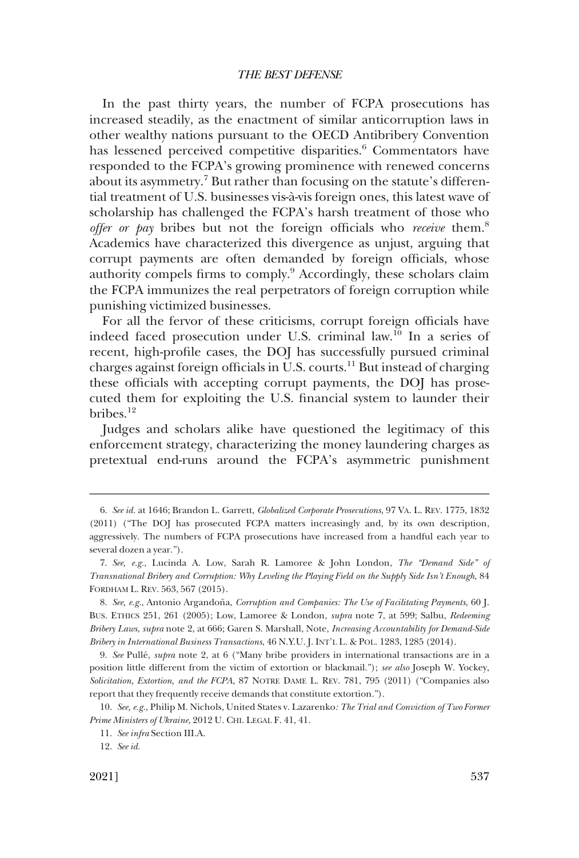In the past thirty years, the number of FCPA prosecutions has increased steadily, as the enactment of similar anticorruption laws in other wealthy nations pursuant to the OECD Antibribery Convention has lessened perceived competitive disparities.<sup>6</sup> Commentators have responded to the FCPA's growing prominence with renewed concerns about its asymmetry.7 But rather than focusing on the statute's differential treatment of U.S. businesses vis-a`-vis foreign ones, this latest wave of scholarship has challenged the FCPA's harsh treatment of those who *offer or pay* bribes but not the foreign officials who *receive* them.8 Academics have characterized this divergence as unjust, arguing that corrupt payments are often demanded by foreign officials, whose authority compels firms to comply.9 Accordingly, these scholars claim the FCPA immunizes the real perpetrators of foreign corruption while punishing victimized businesses.

For all the fervor of these criticisms, corrupt foreign officials have indeed faced prosecution under U.S. criminal law.10 In a series of recent, high-profile cases, the DOJ has successfully pursued criminal charges against foreign officials in U.S. courts.<sup>11</sup> But instead of charging these officials with accepting corrupt payments, the DOJ has prosecuted them for exploiting the U.S. financial system to launder their bribes.12

Judges and scholars alike have questioned the legitimacy of this enforcement strategy, characterizing the money laundering charges as pretextual end-runs around the FCPA's asymmetric punishment

<sup>6.</sup> *See id.* at 1646; Brandon L. Garrett, *Globalized Corporate Prosecutions*, 97 VA. L. REV. 1775, 1832 (2011) ("The DOJ has prosecuted FCPA matters increasingly and, by its own description, aggressively. The numbers of FCPA prosecutions have increased from a handful each year to several dozen a year.").

<sup>7.</sup> *See, e.g.*, Lucinda A. Low, Sarah R. Lamoree & John London, *The "Demand Side" of Transnational Bribery and Corruption: Why Leveling the Playing Field on the Supply Side Isn't Enough*, 84 FORDHAM L. REV. 563, 567 (2015).

<sup>8.</sup> *See, e.g.*, Antonio Argandoña, Corruption and Companies: The Use of Facilitating Payments, 60 J. BUS. ETHICS 251, 261 (2005); Low, Lamoree & London, *supra* note 7, at 599; Salbu, *Redeeming Bribery Laws*, *supra* note 2, at 666; Garen S. Marshall, Note, *Increasing Accountability for Demand-Side Bribery in International Business Transactions*, 46 N.Y.U. J. INT'L L. & POL. 1283, 1285 (2014).

<sup>9.</sup> *See* Pulle´, *supra* note 2, at 6 ("Many bribe providers in international transactions are in a position little different from the victim of extortion or blackmail."); *see also* Joseph W. Yockey, *Solicitation, Extortion, and the FCPA*, 87 NOTRE DAME L. REV. 781, 795 (2011) ("Companies also report that they frequently receive demands that constitute extortion.").

<sup>10.</sup> *See, e.g.*, Philip M. Nichols, United States v. Lazarenko*: The Trial and Conviction of Two Former Prime Ministers of Ukraine*, 2012 U. CHI. LEGAL F. 41, 41.

<sup>11.</sup> *See infra* Section III.A.

<sup>12.</sup> *See id.*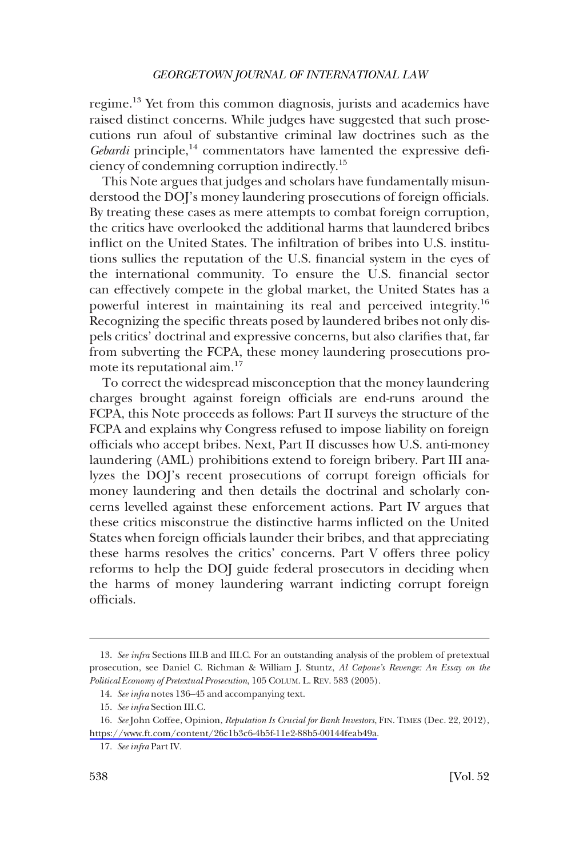regime.13 Yet from this common diagnosis, jurists and academics have raised distinct concerns. While judges have suggested that such prosecutions run afoul of substantive criminal law doctrines such as the *Gebardi* principle,<sup>14</sup> commentators have lamented the expressive deficiency of condemning corruption indirectly.15

This Note argues that judges and scholars have fundamentally misunderstood the DOJ's money laundering prosecutions of foreign officials. By treating these cases as mere attempts to combat foreign corruption, the critics have overlooked the additional harms that laundered bribes inflict on the United States. The infiltration of bribes into U.S. institutions sullies the reputation of the U.S. financial system in the eyes of the international community. To ensure the U.S. financial sector can effectively compete in the global market, the United States has a powerful interest in maintaining its real and perceived integrity.<sup>16</sup> Recognizing the specific threats posed by laundered bribes not only dispels critics' doctrinal and expressive concerns, but also clarifies that, far from subverting the FCPA, these money laundering prosecutions promote its reputational aim.17

To correct the widespread misconception that the money laundering charges brought against foreign officials are end-runs around the FCPA, this Note proceeds as follows: Part II surveys the structure of the FCPA and explains why Congress refused to impose liability on foreign officials who accept bribes. Next, Part II discusses how U.S. anti-money laundering (AML) prohibitions extend to foreign bribery. Part III analyzes the DOJ's recent prosecutions of corrupt foreign officials for money laundering and then details the doctrinal and scholarly concerns levelled against these enforcement actions. Part IV argues that these critics misconstrue the distinctive harms inflicted on the United States when foreign officials launder their bribes, and that appreciating these harms resolves the critics' concerns. Part V offers three policy reforms to help the DOJ guide federal prosecutors in deciding when the harms of money laundering warrant indicting corrupt foreign officials.

<sup>13.</sup> *See infra* Sections III.B and III.C. For an outstanding analysis of the problem of pretextual prosecution, see Daniel C. Richman & William J. Stuntz, *Al Capone's Revenge: An Essay on the Political Economy of Pretextual Prosecution*, 105 COLUM. L. REV. 583 (2005).

<sup>14.</sup> *See infra* notes 136–45 and accompanying text.

<sup>15.</sup> *See infra* Section III.C.

<sup>16.</sup> See John Coffee, Opinion, *Reputation Is Crucial for Bank Investors*, FIN. TIMES (Dec. 22, 2012), [https://www.ft.com/content/26c1b3c6-4b5f-11e2-88b5-00144feab49a.](https://www.ft.com/content/26c1b3c6-4b5f-11e2-88b5-00144feab49a)

<sup>17.</sup> *See infra* Part IV.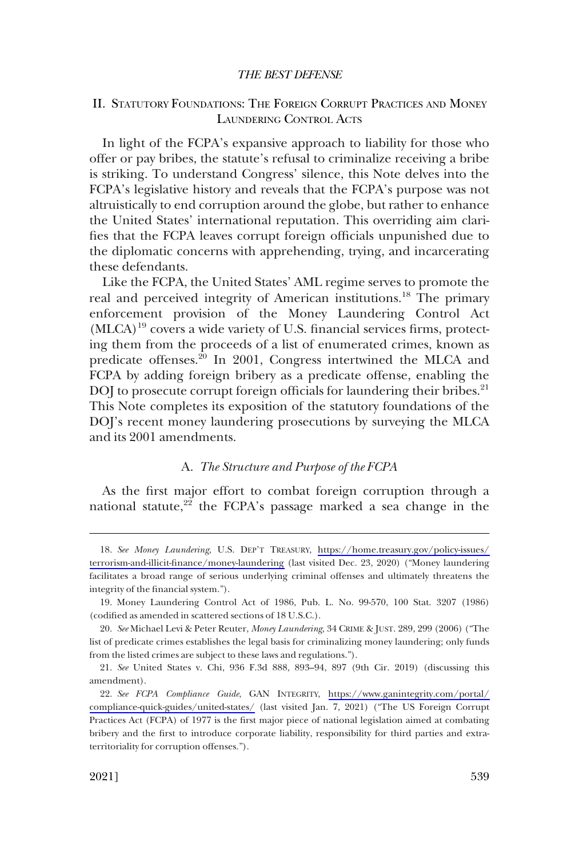# <span id="page-4-0"></span>II. STATUTORY FOUNDATIONS: THE FOREIGN CORRUPT PRACTICES AND MONEY LAUNDERING CONTROL ACTS

In light of the FCPA's expansive approach to liability for those who offer or pay bribes, the statute's refusal to criminalize receiving a bribe is striking. To understand Congress' silence, this Note delves into the FCPA's legislative history and reveals that the FCPA's purpose was not altruistically to end corruption around the globe, but rather to enhance the United States' international reputation. This overriding aim clarifies that the FCPA leaves corrupt foreign officials unpunished due to the diplomatic concerns with apprehending, trying, and incarcerating these defendants.

Like the FCPA, the United States' AML regime serves to promote the real and perceived integrity of American institutions.<sup>18</sup> The primary enforcement provision of the Money Laundering Control Act (MLCA)19 covers a wide variety of U.S. financial services firms, protecting them from the proceeds of a list of enumerated crimes, known as predicate offenses.20 In 2001, Congress intertwined the MLCA and FCPA by adding foreign bribery as a predicate offense, enabling the DOJ to prosecute corrupt foreign officials for laundering their bribes.<sup>21</sup> This Note completes its exposition of the statutory foundations of the DOJ's recent money laundering prosecutions by surveying the MLCA and its 2001 amendments.

# A. *The Structure and Purpose of the FCPA*

As the first major effort to combat foreign corruption through a national statute, $2^2$  the FCPA's passage marked a sea change in the

<sup>18.</sup> See Money Laundering, U.S. DEP'T TREASURY, [https://home.treasury.gov/policy-issues/](https://home.treasury.gov/policy-issues/terrorism-and-illicit-finance/money-laundering) [terrorism-and-illicit-finance/money-laundering](https://home.treasury.gov/policy-issues/terrorism-and-illicit-finance/money-laundering) (last visited Dec. 23, 2020) ("Money laundering facilitates a broad range of serious underlying criminal offenses and ultimately threatens the integrity of the financial system.").

<sup>19.</sup> Money Laundering Control Act of 1986, Pub. L. No. 99-570, 100 Stat. 3207 (1986) (codified as amended in scattered sections of 18 U.S.C.).

<sup>20.</sup> *See* Michael Levi & Peter Reuter, *Money Laundering*, 34 CRIME & JUST. 289, 299 (2006) ("The list of predicate crimes establishes the legal basis for criminalizing money laundering; only funds from the listed crimes are subject to these laws and regulations.").

<sup>21.</sup> *See* United States v. Chi, 936 F.3d 888, 893–94, 897 (9th Cir. 2019) (discussing this amendment).

*See FCPA Compliance Guide*, GAN INTEGRITY, [https://www.ganintegrity.com/portal/](https://www.ganintegrity.com/portal/compliance-quick-guides/united-states/) 22. [compliance-quick-guides/united-states/](https://www.ganintegrity.com/portal/compliance-quick-guides/united-states/) (last visited Jan. 7, 2021) ("The US Foreign Corrupt Practices Act (FCPA) of 1977 is the first major piece of national legislation aimed at combating bribery and the first to introduce corporate liability, responsibility for third parties and extraterritoriality for corruption offenses.").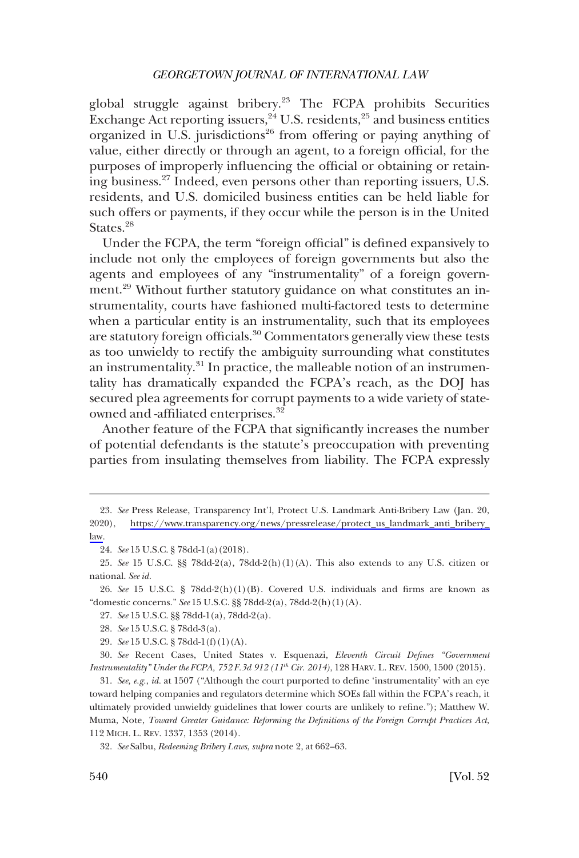global struggle against bribery.<sup>23</sup> The FCPA prohibits Securities Exchange Act reporting issuers,  $24$  U.S. residents,  $25$  and business entities organized in U.S. jurisdictions<sup>26</sup> from offering or paying anything of value, either directly or through an agent, to a foreign official, for the purposes of improperly influencing the official or obtaining or retaining business.27 Indeed, even persons other than reporting issuers, U.S. residents, and U.S. domiciled business entities can be held liable for such offers or payments, if they occur while the person is in the United States.<sup>28</sup>

Under the FCPA, the term "foreign official" is defined expansively to include not only the employees of foreign governments but also the agents and employees of any "instrumentality" of a foreign government.<sup>29</sup> Without further statutory guidance on what constitutes an instrumentality, courts have fashioned multi-factored tests to determine when a particular entity is an instrumentality, such that its employees are statutory foreign officials.30 Commentators generally view these tests as too unwieldy to rectify the ambiguity surrounding what constitutes an instrumentality.31 In practice, the malleable notion of an instrumentality has dramatically expanded the FCPA's reach, as the DOJ has secured plea agreements for corrupt payments to a wide variety of stateowned and -affiliated enterprises.<sup>32</sup>

Another feature of the FCPA that significantly increases the number of potential defendants is the statute's preoccupation with preventing parties from insulating themselves from liability. The FCPA expressly

26. *See* 15 U.S.C. § 78dd-2(h)(1)(B). Covered U.S. individuals and firms are known as "domestic concerns." *See* 15 U.S.C. §§ 78dd-2(a), 78dd-2(h)(1)(A).

27. *See* 15 U.S.C. §§ 78dd-1(a), 78dd-2(a).

- 28. *See* 15 U.S.C. § 78dd-3(a).
- 29. *See* 15 U.S.C. § 78dd-1(f)(1)(A).

30. *See* Recent Cases, United States v. Esquenazi*, Eleventh Circuit Defines "Government Instrumentality" Under the FCPA, 752 F.3d 912 (11th Cir. 2014)*, 128 HARV. L. REV. 1500, 1500 (2015).

31. *See, e.g.*, *id.* at 1507 ("Although the court purported to define 'instrumentality' with an eye toward helping companies and regulators determine which SOEs fall within the FCPA's reach, it ultimately provided unwieldy guidelines that lower courts are unlikely to refine."); Matthew W. Muma, Note, *Toward Greater Guidance: Reforming the Definitions of the Foreign Corrupt Practices Act*, 112 MICH. L. REV. 1337, 1353 (2014).

<sup>23.</sup> See Press Release, Transparency Int'l, Protect U.S. Landmark Anti-Bribery Law (Jan. 20, 2020), [https://www.transparency.org/news/pressrelease/protect\\_us\\_landmark\\_anti\\_bribery\\_](https://www.transparency.org/news/pressrelease/protect_us_landmark_anti_bribery_law) [law](https://www.transparency.org/news/pressrelease/protect_us_landmark_anti_bribery_law).

<sup>24.</sup> *See* 15 U.S.C. § 78dd-1(a)(2018).

<sup>25.</sup> *See* 15 U.S.C. §§ 78dd-2(a), 78dd-2(h)(1)(A). This also extends to any U.S. citizen or national. *See id.* 

<sup>32.</sup> *See* Salbu, *Redeeming Bribery Laws*, *supra* note 2, at 662–63.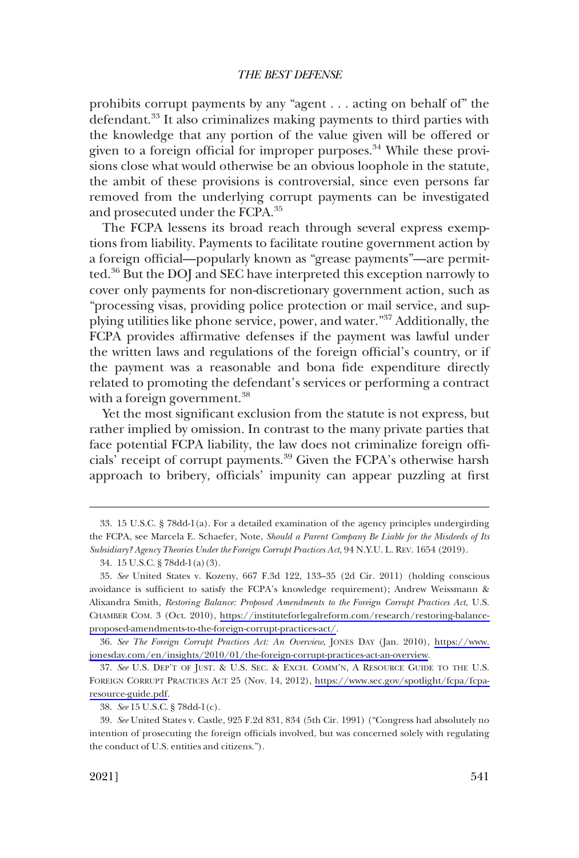prohibits corrupt payments by any "agent . . . acting on behalf of" the defendant.<sup>33</sup> It also criminalizes making payments to third parties with the knowledge that any portion of the value given will be offered or given to a foreign official for improper purposes.<sup>34</sup> While these provisions close what would otherwise be an obvious loophole in the statute, the ambit of these provisions is controversial, since even persons far removed from the underlying corrupt payments can be investigated and prosecuted under the FCPA.35

The FCPA lessens its broad reach through several express exemptions from liability. Payments to facilitate routine government action by a foreign official—popularly known as "grease payments"—are permitted.36 But the DOJ and SEC have interpreted this exception narrowly to cover only payments for non-discretionary government action, such as "processing visas, providing police protection or mail service, and supplying utilities like phone service, power, and water."37 Additionally, the FCPA provides affirmative defenses if the payment was lawful under the written laws and regulations of the foreign official's country, or if the payment was a reasonable and bona fide expenditure directly related to promoting the defendant's services or performing a contract with a foreign government.<sup>38</sup>

Yet the most significant exclusion from the statute is not express, but rather implied by omission. In contrast to the many private parties that face potential FCPA liability, the law does not criminalize foreign officials' receipt of corrupt payments.39 Given the FCPA's otherwise harsh approach to bribery, officials' impunity can appear puzzling at first

<sup>33. 15</sup> U.S.C. § 78dd-1(a). For a detailed examination of the agency principles undergirding the FCPA, see Marcela E. Schaefer, Note, *Should a Parent Company Be Liable for the Misdeeds of Its Subsidiary? Agency Theories Under the Foreign Corrupt Practices Act*, 94 N.Y.U. L. REV. 1654 (2019).

<sup>34. 15</sup> U.S.C. § 78dd-1(a)(3).

*See* United States v. Kozeny, 667 F.3d 122, 133–35 (2d Cir. 2011) (holding conscious 35. avoidance is sufficient to satisfy the FCPA's knowledge requirement); Andrew Weissmann & Alixandra Smith, *Restoring Balance: Proposed Amendments to the Foreign Corrupt Practices Act*, U.S. CHAMBER COM. 3 (Oct. 2010), [https://instituteforlegalreform.com/research/restoring-balance](https://instituteforlegalreform.com/research/restoring-balance-proposed-amendments-to-the-foreign-corrupt-practices-act/)[proposed-amendments-to-the-foreign-corrupt-practices-act/](https://instituteforlegalreform.com/research/restoring-balance-proposed-amendments-to-the-foreign-corrupt-practices-act/).

*See The Foreign Corrupt Practices Act: An Overview*, JONES DAY (Jan. 2010), [https://www.](https://www.jonesday.com/en/insights/2010/01/the-foreign-corrupt-practices-act-an-overview) 36. [jonesday.com/en/insights/2010/01/the-foreign-corrupt-practices-act-an-overview.](https://www.jonesday.com/en/insights/2010/01/the-foreign-corrupt-practices-act-an-overview)

<sup>37.</sup> See U.S. DEP'T OF JUST. & U.S. SEC. & EXCH. COMM'N, A RESOURCE GUIDE TO THE U.S. FOREIGN CORRUPT PRACTICES ACT 25 (Nov. 14, 2012), [https://www.sec.gov/spotlight/fcpa/fcpa](https://www.sec.gov/spotlight/fcpa/fcpa-resource-guide.pdf)[resource-guide.pdf.](https://www.sec.gov/spotlight/fcpa/fcpa-resource-guide.pdf)

<sup>38.</sup> *See* 15 U.S.C. § 78dd-1(c).

<sup>39.</sup> *See* United States v. Castle, 925 F.2d 831, 834 (5th Cir. 1991) ("Congress had absolutely no intention of prosecuting the foreign officials involved, but was concerned solely with regulating the conduct of U.S. entities and citizens.").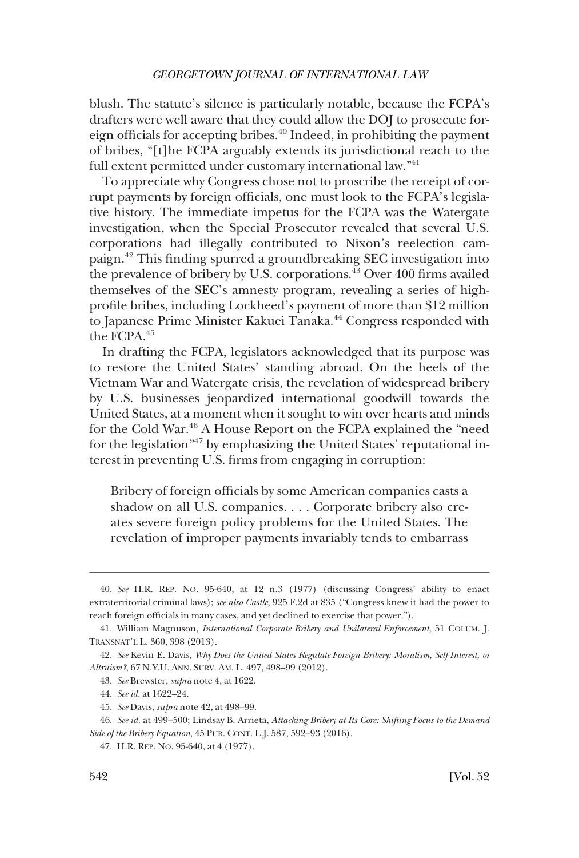blush. The statute's silence is particularly notable, because the FCPA's drafters were well aware that they could allow the DOJ to prosecute foreign officials for accepting bribes.40 Indeed, in prohibiting the payment of bribes, "[t]he FCPA arguably extends its jurisdictional reach to the full extent permitted under customary international law."<sup>41</sup>

To appreciate why Congress chose not to proscribe the receipt of corrupt payments by foreign officials, one must look to the FCPA's legislative history. The immediate impetus for the FCPA was the Watergate investigation, when the Special Prosecutor revealed that several U.S. corporations had illegally contributed to Nixon's reelection campaign.42 This finding spurred a groundbreaking SEC investigation into the prevalence of bribery by U.S. corporations.<sup>43</sup> Over 400 firms availed themselves of the SEC's amnesty program, revealing a series of highprofile bribes, including Lockheed's payment of more than \$12 million to Japanese Prime Minister Kakuei Tanaka.<sup>44</sup> Congress responded with the FCPA.<sup>45</sup>

In drafting the FCPA, legislators acknowledged that its purpose was to restore the United States' standing abroad. On the heels of the Vietnam War and Watergate crisis, the revelation of widespread bribery by U.S. businesses jeopardized international goodwill towards the United States, at a moment when it sought to win over hearts and minds for the Cold War.<sup>46</sup> A House Report on the FCPA explained the "need for the legislation<sup>"47</sup> by emphasizing the United States' reputational interest in preventing U.S. firms from engaging in corruption:

Bribery of foreign officials by some American companies casts a shadow on all U.S. companies. . . . Corporate bribery also creates severe foreign policy problems for the United States. The revelation of improper payments invariably tends to embarrass

<sup>40.</sup> *See* H.R. REP. NO. 95-640, at 12 n.3 (1977) (discussing Congress' ability to enact extraterritorial criminal laws); *see also Castle*, 925 F.2d at 835 ("Congress knew it had the power to reach foreign officials in many cases, and yet declined to exercise that power.").

<sup>41.</sup> William Magnuson, *International Corporate Bribery and Unilateral Enforcement*, 51 COLUM. J. TRANSNAT'L L. 360, 398 (2013).

<sup>42.</sup> *See* Kevin E. Davis, *Why Does the United States Regulate Foreign Bribery: Moralism, Self-Interest, or Altruism?*, 67 N.Y.U. ANN. SURV. AM. L. 497, 498–99 (2012).

<sup>43.</sup> *See* Brewster, *supra* note 4, at 1622.

<sup>44.</sup> *See id.* at 1622–24.

<sup>45.</sup> *See* Davis, *supra* note 42, at 498–99.

<sup>46.</sup> *See id.* at 499–500; Lindsay B. Arrieta, *Attacking Bribery at Its Core: Shifting Focus to the Demand Side of the Bribery Equation*, 45 PUB. CONT. L.J. 587, 592–93 (2016).

<sup>47.</sup> H.R. REP. NO. 95-640, at 4 (1977).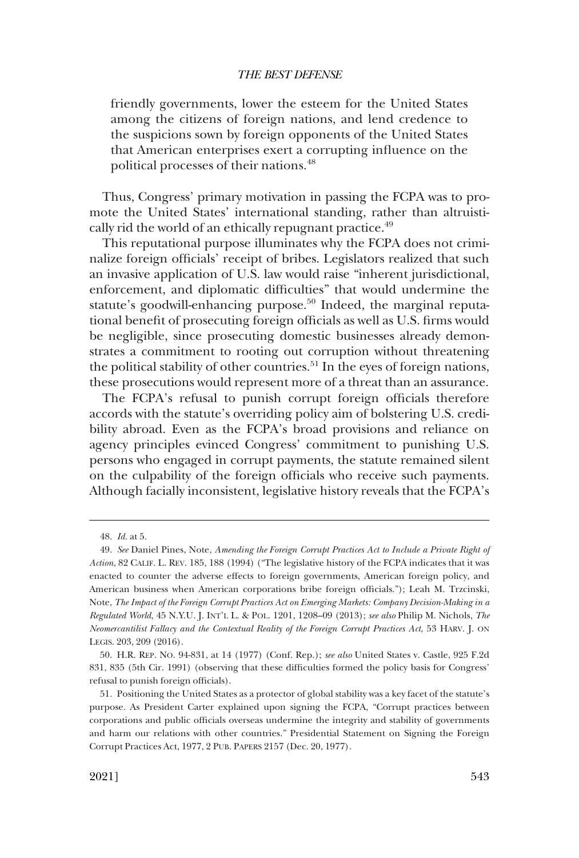friendly governments, lower the esteem for the United States among the citizens of foreign nations, and lend credence to the suspicions sown by foreign opponents of the United States that American enterprises exert a corrupting influence on the political processes of their nations.<sup>48</sup>

Thus, Congress' primary motivation in passing the FCPA was to promote the United States' international standing, rather than altruistically rid the world of an ethically repugnant practice.<sup>49</sup>

This reputational purpose illuminates why the FCPA does not criminalize foreign officials' receipt of bribes. Legislators realized that such an invasive application of U.S. law would raise "inherent jurisdictional, enforcement, and diplomatic difficulties" that would undermine the statute's goodwill-enhancing purpose.<sup>50</sup> Indeed, the marginal reputational benefit of prosecuting foreign officials as well as U.S. firms would be negligible, since prosecuting domestic businesses already demonstrates a commitment to rooting out corruption without threatening the political stability of other countries.<sup>51</sup> In the eyes of foreign nations, these prosecutions would represent more of a threat than an assurance.

The FCPA's refusal to punish corrupt foreign officials therefore accords with the statute's overriding policy aim of bolstering U.S. credibility abroad. Even as the FCPA's broad provisions and reliance on agency principles evinced Congress' commitment to punishing U.S. persons who engaged in corrupt payments, the statute remained silent on the culpability of the foreign officials who receive such payments. Although facially inconsistent, legislative history reveals that the FCPA's

<sup>48.</sup> *Id.* at 5.

<sup>49.</sup> *See* Daniel Pines, Note, *Amending the Foreign Corrupt Practices Act to Include a Private Right of Action*, 82 CALIF. L. REV. 185, 188 (1994) ("The legislative history of the FCPA indicates that it was enacted to counter the adverse effects to foreign governments, American foreign policy, and American business when American corporations bribe foreign officials."); Leah M. Trzcinski, Note, *The Impact of the Foreign Corrupt Practices Act on Emerging Markets: Company Decision-Making in a Regulated World*, 45 N.Y.U. J. INT'L L. & POL. 1201, 1208–09 (2013); *see also* Philip M. Nichols, *The Neomercantilist Fallacy and the Contextual Reality of the Foreign Corrupt Practices Act*, 53 HARV. J. ON LEGIS. 203, 209 (2016).

<sup>50.</sup> H.R. REP. NO. 94-831, at 14 (1977) (Conf. Rep.); *see also* United States v. Castle, 925 F.2d 831, 835 (5th Cir. 1991) (observing that these difficulties formed the policy basis for Congress' refusal to punish foreign officials).

<sup>51.</sup> Positioning the United States as a protector of global stability was a key facet of the statute's purpose. As President Carter explained upon signing the FCPA, "Corrupt practices between corporations and public officials overseas undermine the integrity and stability of governments and harm our relations with other countries." Presidential Statement on Signing the Foreign Corrupt Practices Act, 1977, 2 PUB. PAPERS 2157 (Dec. 20, 1977).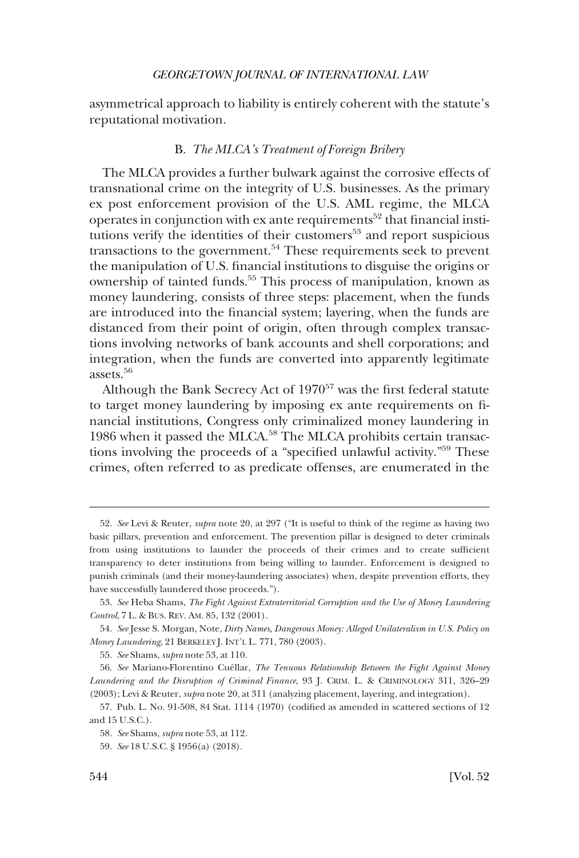<span id="page-9-0"></span>asymmetrical approach to liability is entirely coherent with the statute's reputational motivation.

# B. *The MLCA's Treatment of Foreign Bribery*

The MLCA provides a further bulwark against the corrosive effects of transnational crime on the integrity of U.S. businesses. As the primary ex post enforcement provision of the U.S. AML regime, the MLCA operates in conjunction with ex ante requirements<sup>52</sup> that financial institutions verify the identities of their customers<sup>53</sup> and report suspicious transactions to the government.<sup>54</sup> These requirements seek to prevent the manipulation of U.S. financial institutions to disguise the origins or ownership of tainted funds.<sup>55</sup> This process of manipulation, known as money laundering, consists of three steps: placement, when the funds are introduced into the financial system; layering, when the funds are distanced from their point of origin, often through complex transactions involving networks of bank accounts and shell corporations; and integration, when the funds are converted into apparently legitimate assets.56

Although the Bank Secrecy Act of  $1970^{57}$  was the first federal statute to target money laundering by imposing ex ante requirements on financial institutions, Congress only criminalized money laundering in 1986 when it passed the MLCA.<sup>58</sup> The MLCA prohibits certain transactions involving the proceeds of a "specified unlawful activity."59 These crimes, often referred to as predicate offenses, are enumerated in the

<sup>52.</sup> *See* Levi & Reuter, *supra* note 20, at 297 ("It is useful to think of the regime as having two basic pillars, prevention and enforcement. The prevention pillar is designed to deter criminals from using institutions to launder the proceeds of their crimes and to create sufficient transparency to deter institutions from being willing to launder. Enforcement is designed to punish criminals (and their money-laundering associates) when, despite prevention efforts, they have successfully laundered those proceeds.").

<sup>53.</sup> *See* Heba Shams, *The Fight Against Extraterritorial Corruption and the Use of Money Laundering Control*, 7 L. & BUS. REV. AM. 85, 132 (2001).

<sup>54.</sup> *See* Jesse S. Morgan, Note, *Dirty Names, Dangerous Money: Alleged Unilateralism in U.S. Policy on Money Laundering*, 21 BERKELEY J. INT'L L. 771, 780 (2003).

<sup>55.</sup> *See* Shams, *supra* note 53, at 110.

<sup>56.</sup> See Mariano-Florentino Cuéllar, *The Tenuous Relationship Between the Fight Against Money Laundering and the Disruption of Criminal Finance*, 93 J. CRIM. L. & CRIMINOLOGY 311, 326–29 (2003); Levi & Reuter, *supra* note 20, at 311 (analyzing placement, layering, and integration).

<sup>57.</sup> Pub. L. No. 91-508, 84 Stat. 1114 (1970) (codified as amended in scattered sections of 12 and 15 U.S.C.).

<sup>58.</sup> *See* Shams, *supra* note 53, at 112.

<sup>59.</sup> *See* 18 U.S.C. § 1956(a) (2018).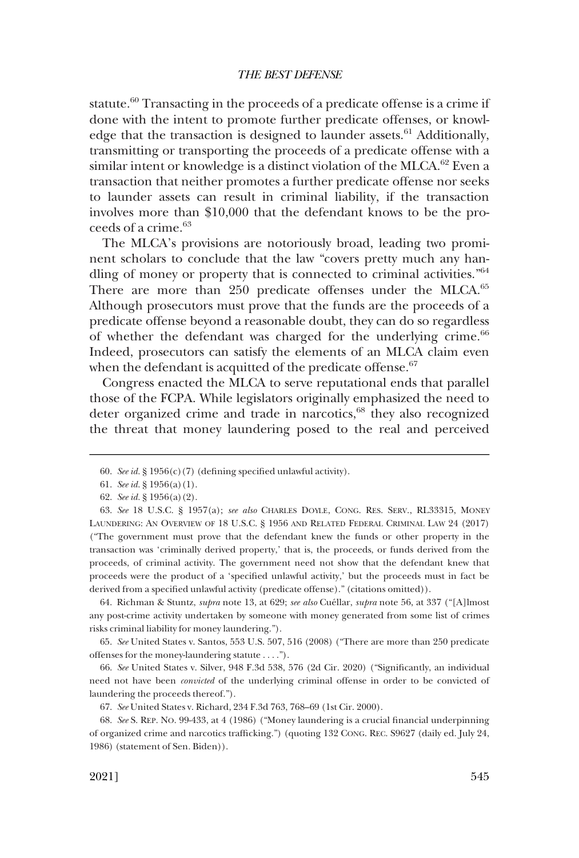statute.<sup>60</sup> Transacting in the proceeds of a predicate offense is a crime if done with the intent to promote further predicate offenses, or knowledge that the transaction is designed to launder assets. $61$  Additionally, transmitting or transporting the proceeds of a predicate offense with a similar intent or knowledge is a distinct violation of the MLCA.<sup>62</sup> Even a transaction that neither promotes a further predicate offense nor seeks to launder assets can result in criminal liability, if the transaction involves more than \$10,000 that the defendant knows to be the proceeds of a crime.63

The MLCA's provisions are notoriously broad, leading two prominent scholars to conclude that the law "covers pretty much any handling of money or property that is connected to criminal activities."64 There are more than 250 predicate offenses under the MLCA.<sup>65</sup> Although prosecutors must prove that the funds are the proceeds of a predicate offense beyond a reasonable doubt, they can do so regardless of whether the defendant was charged for the underlying crime.<sup>66</sup> Indeed, prosecutors can satisfy the elements of an MLCA claim even when the defendant is acquitted of the predicate offense. $67$ 

Congress enacted the MLCA to serve reputational ends that parallel those of the FCPA. While legislators originally emphasized the need to deter organized crime and trade in narcotics,<sup>68</sup> they also recognized the threat that money laundering posed to the real and perceived

64. Richman & Stuntz, *supra* note 13, at 629; *see also* Cuéllar, *supra* note 56, at 337 ("[A]lmost any post-crime activity undertaken by someone with money generated from some list of crimes risks criminal liability for money laundering.").

65. *See* United States v. Santos, 553 U.S. 507, 516 (2008) ("There are more than 250 predicate offenses for the money-laundering statute . . . .").

66. *See* United States v. Silver, 948 F.3d 538, 576 (2d Cir. 2020) ("Significantly, an individual need not have been *convicted* of the underlying criminal offense in order to be convicted of laundering the proceeds thereof.").

<sup>60.</sup> *See id.* § 1956(c)(7) (defining specified unlawful activity).

<sup>61.</sup> *See id.* § 1956(a)(1).

<sup>62.</sup> *See id.* § 1956(a)(2).

<sup>63.</sup> *See* 18 U.S.C. § 1957(a); *see also* CHARLES DOYLE, CONG. RES. SERV., RL33315, MONEY LAUNDERING: AN OVERVIEW OF 18 U.S.C. § 1956 AND RELATED FEDERAL CRIMINAL LAW 24 (2017) ("The government must prove that the defendant knew the funds or other property in the transaction was 'criminally derived property,' that is, the proceeds, or funds derived from the proceeds, of criminal activity. The government need not show that the defendant knew that proceeds were the product of a 'specified unlawful activity,' but the proceeds must in fact be derived from a specified unlawful activity (predicate offense)." (citations omitted)).

<sup>67.</sup> *See* United States v. Richard, 234 F.3d 763, 768–69 (1st Cir. 2000).

<sup>68.</sup> *See* S. REP. NO. 99-433, at 4 (1986) ("Money laundering is a crucial financial underpinning of organized crime and narcotics trafficking.") (quoting 132 CONG. REC. S9627 (daily ed. July 24, 1986) (statement of Sen. Biden)).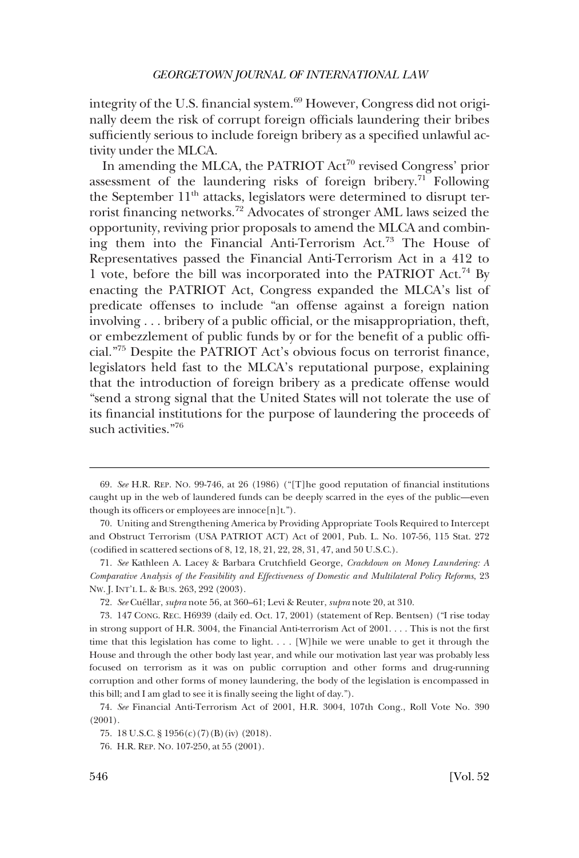integrity of the U.S. financial system.<sup>69</sup> However, Congress did not originally deem the risk of corrupt foreign officials laundering their bribes sufficiently serious to include foreign bribery as a specified unlawful activity under the MLCA.

In amending the MLCA, the PATRIOT Act<sup>70</sup> revised Congress' prior assessment of the laundering risks of foreign bribery.<sup>71</sup> Following the September  $11<sup>th</sup>$  attacks, legislators were determined to disrupt terrorist financing networks.72 Advocates of stronger AML laws seized the opportunity, reviving prior proposals to amend the MLCA and combining them into the Financial Anti-Terrorism Act.73 The House of Representatives passed the Financial Anti-Terrorism Act in a 412 to 1 vote, before the bill was incorporated into the PATRIOT Act.<sup>74</sup> By enacting the PATRIOT Act, Congress expanded the MLCA's list of predicate offenses to include "an offense against a foreign nation involving . . . bribery of a public official, or the misappropriation, theft, or embezzlement of public funds by or for the benefit of a public official."75 Despite the PATRIOT Act's obvious focus on terrorist finance, legislators held fast to the MLCA's reputational purpose, explaining that the introduction of foreign bribery as a predicate offense would "send a strong signal that the United States will not tolerate the use of its financial institutions for the purpose of laundering the proceeds of such activities."76

<sup>69.</sup> *See* H.R. REP. NO. 99-746, at 26 (1986) ("[T]he good reputation of financial institutions caught up in the web of laundered funds can be deeply scarred in the eyes of the public—even though its officers or employees are innoce[n]t.").

<sup>70.</sup> Uniting and Strengthening America by Providing Appropriate Tools Required to Intercept and Obstruct Terrorism (USA PATRIOT ACT) Act of 2001, Pub. L. No. 107-56, 115 Stat. 272 (codified in scattered sections of 8, 12, 18, 21, 22, 28, 31, 47, and 50 U.S.C.).

<sup>71.</sup> *See* Kathleen A. Lacey & Barbara Crutchfield George, *Crackdown on Money Laundering: A Comparative Analysis of the Feasibility and Effectiveness of Domestic and Multilateral Policy Reforms*, 23 NW. J. INT'L L. & BUS. 263, 292 (2003).

<sup>72.</sup> *See* Cue´llar, *supra* note 56, at 360–61; Levi & Reuter, *supra* note 20, at 310.

<sup>73. 147</sup> CONG. REC. H6939 (daily ed. Oct. 17, 2001) (statement of Rep. Bentsen) ("I rise today in strong support of H.R. 3004, the Financial Anti-terrorism Act of 2001. . . . This is not the first time that this legislation has come to light. . . . [W]hile we were unable to get it through the House and through the other body last year, and while our motivation last year was probably less focused on terrorism as it was on public corruption and other forms and drug-running corruption and other forms of money laundering, the body of the legislation is encompassed in this bill; and I am glad to see it is finally seeing the light of day.").

<sup>74.</sup> *See* Financial Anti-Terrorism Act of 2001, H.R. 3004, 107th Cong., Roll Vote No. 390 (2001).

<sup>75. 18</sup> U.S.C. § 1956(c)(7)(B)(iv) (2018).

<sup>76.</sup> H.R. REP. NO. 107-250, at 55 (2001).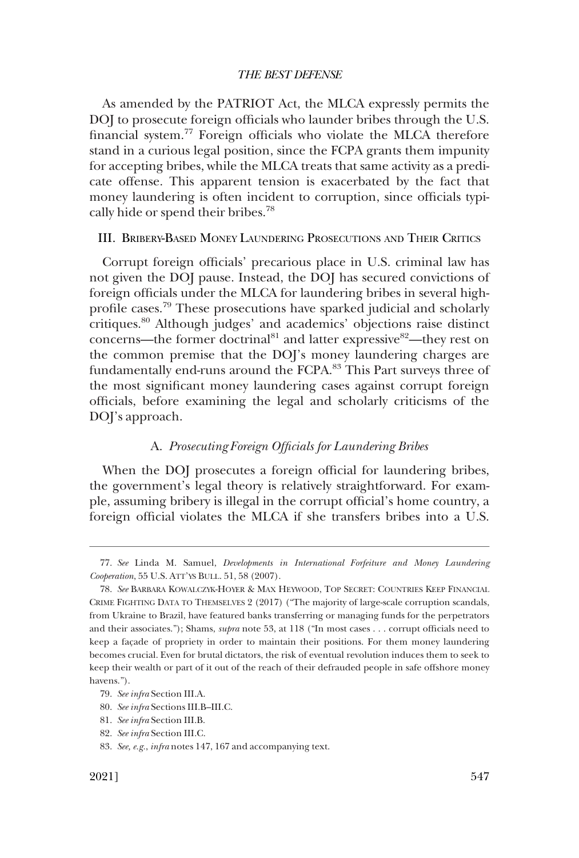<span id="page-12-0"></span>As amended by the PATRIOT Act, the MLCA expressly permits the DOJ to prosecute foreign officials who launder bribes through the U.S. financial system.77 Foreign officials who violate the MLCA therefore stand in a curious legal position, since the FCPA grants them impunity for accepting bribes, while the MLCA treats that same activity as a predicate offense. This apparent tension is exacerbated by the fact that money laundering is often incident to corruption, since officials typically hide or spend their bribes.78

# III. BRIBERY-BASED MONEY LAUNDERING PROSECUTIONS AND THEIR CRITICS

Corrupt foreign officials' precarious place in U.S. criminal law has not given the DOJ pause. Instead, the DOJ has secured convictions of foreign officials under the MLCA for laundering bribes in several highprofile cases.79 These prosecutions have sparked judicial and scholarly critiques.80 Although judges' and academics' objections raise distinct concerns—the former doctrinal<sup>81</sup> and latter expressive<sup>82</sup>—they rest on the common premise that the DOJ's money laundering charges are fundamentally end-runs around the FCPA.<sup>83</sup> This Part surveys three of the most significant money laundering cases against corrupt foreign officials, before examining the legal and scholarly criticisms of the DOJ's approach.

# A. *Prosecuting Foreign Officials for Laundering Bribes*

When the DOJ prosecutes a foreign official for laundering bribes, the government's legal theory is relatively straightforward. For example, assuming bribery is illegal in the corrupt official's home country, a foreign official violates the MLCA if she transfers bribes into a U.S.

<sup>77.</sup> *See* Linda M. Samuel, *Developments in International Forfeiture and Money Laundering Cooperation*, 55 U.S. ATT'YS BULL. 51, 58 (2007).

<sup>78.</sup> *See* BARBARA KOWALCZYK-HOYER & MAX HEYWOOD, TOP SECRET: COUNTRIES KEEP FINANCIAL CRIME FIGHTING DATA TO THEMSELVES 2 (2017) ("The majority of large-scale corruption scandals, from Ukraine to Brazil, have featured banks transferring or managing funds for the perpetrators and their associates."); Shams, *supra* note 53, at 118 ("In most cases . . . corrupt officials need to keep a façade of propriety in order to maintain their positions. For them money laundering becomes crucial. Even for brutal dictators, the risk of eventual revolution induces them to seek to keep their wealth or part of it out of the reach of their defrauded people in safe offshore money havens.").

<sup>79.</sup> *See infra* Section III.A.

<sup>80.</sup> *See infra* Sections III.B–III.C.

<sup>81.</sup> *See infra* Section III.B.

<sup>82.</sup> *See infra* Section III.C.

<sup>83.</sup> *See, e.g.*, *infra* notes 147, 167 and accompanying text.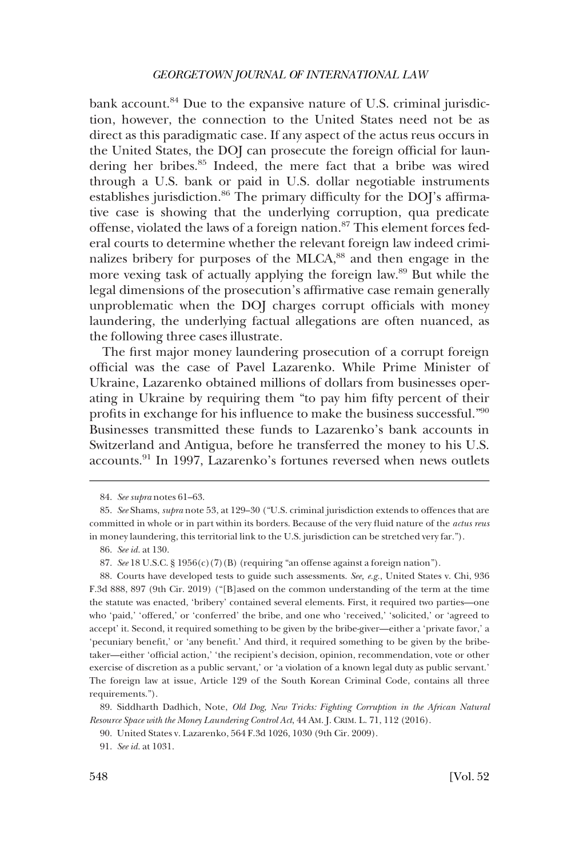bank account.<sup>84</sup> Due to the expansive nature of U.S. criminal jurisdiction, however, the connection to the United States need not be as direct as this paradigmatic case. If any aspect of the actus reus occurs in the United States, the DOJ can prosecute the foreign official for laundering her bribes.85 Indeed, the mere fact that a bribe was wired through a U.S. bank or paid in U.S. dollar negotiable instruments establishes jurisdiction.<sup>86</sup> The primary difficulty for the DOJ's affirmative case is showing that the underlying corruption, qua predicate offense, violated the laws of a foreign nation.<sup>87</sup> This element forces federal courts to determine whether the relevant foreign law indeed criminalizes bribery for purposes of the MLCA,<sup>88</sup> and then engage in the more vexing task of actually applying the foreign law.89 But while the legal dimensions of the prosecution's affirmative case remain generally unproblematic when the DOJ charges corrupt officials with money laundering, the underlying factual allegations are often nuanced, as the following three cases illustrate.

The first major money laundering prosecution of a corrupt foreign official was the case of Pavel Lazarenko. While Prime Minister of Ukraine, Lazarenko obtained millions of dollars from businesses operating in Ukraine by requiring them "to pay him fifty percent of their profits in exchange for his influence to make the business successful."<sup>90</sup> Businesses transmitted these funds to Lazarenko's bank accounts in Switzerland and Antigua, before he transferred the money to his U.S. accounts.<sup>91</sup> In 1997, Lazarenko's fortunes reversed when news outlets

86. *See id.* at 130.

<sup>84.</sup> *See supra* notes 61–63.

<sup>85.</sup> *See* Shams, *supra* note 53, at 129–30 ("U.S. criminal jurisdiction extends to offences that are committed in whole or in part within its borders. Because of the very fluid nature of the *actus reus*  in money laundering, this territorial link to the U.S. jurisdiction can be stretched very far.").

<sup>87.</sup> *See* 18 U.S.C. § 1956(c)(7)(B) (requiring "an offense against a foreign nation").

<sup>88.</sup> Courts have developed tests to guide such assessments. *See, e.g.*, United States v. Chi, 936 F.3d 888, 897 (9th Cir. 2019) ("[B]ased on the common understanding of the term at the time the statute was enacted, 'bribery' contained several elements. First, it required two parties—one who 'paid,' 'offered,' or 'conferred' the bribe, and one who 'received,' 'solicited,' or 'agreed to accept' it. Second, it required something to be given by the bribe-giver—either a 'private favor,' a 'pecuniary benefit,' or 'any benefit.' And third, it required something to be given by the bribetaker—either 'official action,' 'the recipient's decision, opinion, recommendation, vote or other exercise of discretion as a public servant,' or 'a violation of a known legal duty as public servant.' The foreign law at issue, Article 129 of the South Korean Criminal Code, contains all three requirements.").

<sup>89.</sup> Siddharth Dadhich, Note, *Old Dog, New Tricks: Fighting Corruption in the African Natural Resource Space with the Money Laundering Control Act*, 44 AM. J. CRIM. L. 71, 112 (2016).

<sup>90.</sup> United States v. Lazarenko, 564 F.3d 1026, 1030 (9th Cir. 2009).

<sup>91.</sup> *See id.* at 1031.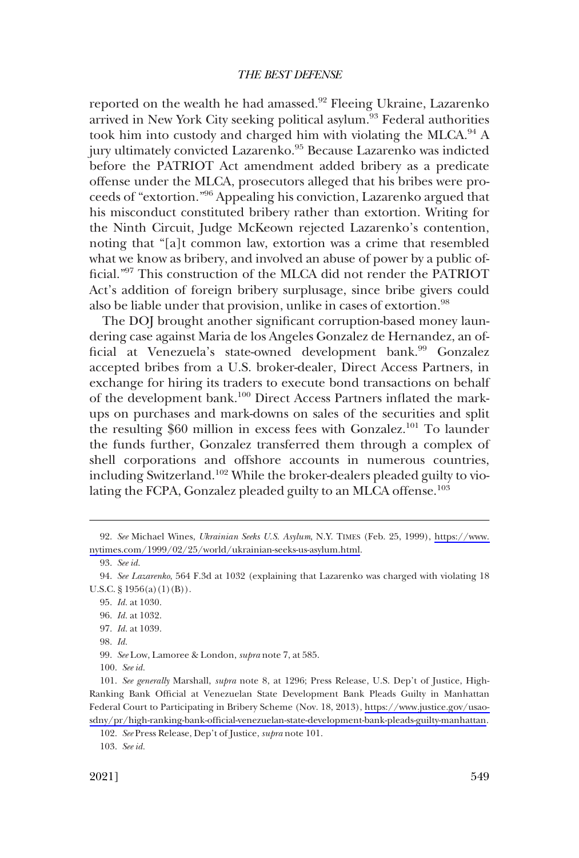reported on the wealth he had amassed.<sup>92</sup> Fleeing Ukraine, Lazarenko arrived in New York City seeking political asylum.<sup>93</sup> Federal authorities took him into custody and charged him with violating the MLCA.<sup>94</sup> A jury ultimately convicted Lazarenko.<sup>95</sup> Because Lazarenko was indicted before the PATRIOT Act amendment added bribery as a predicate offense under the MLCA, prosecutors alleged that his bribes were proceeds of "extortion."96 Appealing his conviction, Lazarenko argued that his misconduct constituted bribery rather than extortion. Writing for the Ninth Circuit, Judge McKeown rejected Lazarenko's contention, noting that "[a]t common law, extortion was a crime that resembled what we know as bribery, and involved an abuse of power by a public official."97 This construction of the MLCA did not render the PATRIOT Act's addition of foreign bribery surplusage, since bribe givers could also be liable under that provision, unlike in cases of extortion.<sup>98</sup>

The DOJ brought another significant corruption-based money laundering case against Maria de los Angeles Gonzalez de Hernandez, an official at Venezuela's state-owned development bank.<sup>99</sup> Gonzalez accepted bribes from a U.S. broker-dealer, Direct Access Partners, in exchange for hiring its traders to execute bond transactions on behalf of the development bank.100 Direct Access Partners inflated the markups on purchases and mark-downs on sales of the securities and split the resulting \$60 million in excess fees with Gonzalez.<sup>101</sup> To launder the funds further, Gonzalez transferred them through a complex of shell corporations and offshore accounts in numerous countries, including Switzerland.102 While the broker-dealers pleaded guilty to violating the FCPA, Gonzalez pleaded guilty to an MLCA offense.<sup>103</sup>

*See* Michael Wines, *Ukrainian Seeks U.S. Asylum*, N.Y. TIMES (Feb. 25, 1999), [https://www.](https://www.nytimes.com/1999/02/25/world/ukrainian-seeks-us-asylum.html) 92. [nytimes.com/1999/02/25/world/ukrainian-seeks-us-asylum.html.](https://www.nytimes.com/1999/02/25/world/ukrainian-seeks-us-asylum.html)

<sup>93.</sup> *See id.* 

<sup>94.</sup> *See Lazarenko*, 564 F.3d at 1032 (explaining that Lazarenko was charged with violating 18 U.S.C.  $\S 1956(a)(1)(B)$ .

<sup>95.</sup> *Id.* at 1030.

<sup>96.</sup> *Id.* at 1032.

<sup>97.</sup> *Id.* at 1039.

<sup>98.</sup> *Id.* 

<sup>99.</sup> *See* Low, Lamoree & London, *supra* note 7, at 585.

<sup>100.</sup> *See id.* 

*See generally* Marshall, *supra* note 8, at 1296; Press Release, U.S. Dep't of Justice, High-101. Ranking Bank Official at Venezuelan State Development Bank Pleads Guilty in Manhattan Federal Court to Participating in Bribery Scheme (Nov. 18, 2013), [https://www.justice.gov/usao](https://www.justice.gov/usao-sdny/pr/high-ranking-bank-official-venezuelan-state-development-bank-pleads-guilty-manhattan)[sdny/pr/high-ranking-bank-official-venezuelan-state-development-bank-pleads-guilty-manhattan.](https://www.justice.gov/usao-sdny/pr/high-ranking-bank-official-venezuelan-state-development-bank-pleads-guilty-manhattan)

<sup>102.</sup> *See* Press Release, Dep't of Justice, *supra* note 101.

<sup>103.</sup> *See id.*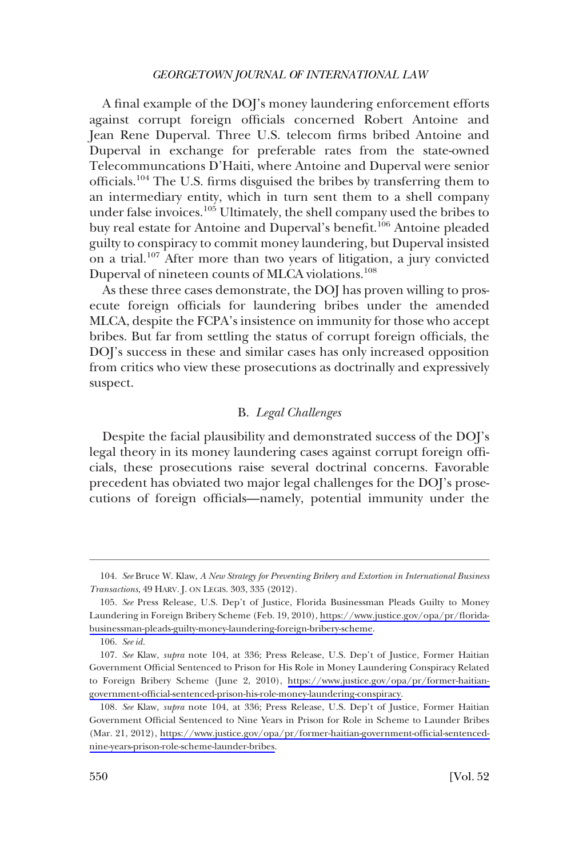<span id="page-15-0"></span>A final example of the DOJ's money laundering enforcement efforts against corrupt foreign officials concerned Robert Antoine and Jean Rene Duperval. Three U.S. telecom firms bribed Antoine and Duperval in exchange for preferable rates from the state-owned Telecommuncations D'Haiti, where Antoine and Duperval were senior officials.104 The U.S. firms disguised the bribes by transferring them to an intermediary entity, which in turn sent them to a shell company under false invoices.<sup>105</sup> Ultimately, the shell company used the bribes to buy real estate for Antoine and Duperval's benefit.<sup>106</sup> Antoine pleaded guilty to conspiracy to commit money laundering, but Duperval insisted on a trial.107 After more than two years of litigation, a jury convicted Duperval of nineteen counts of MLCA violations.<sup>108</sup>

As these three cases demonstrate, the DOJ has proven willing to prosecute foreign officials for laundering bribes under the amended MLCA, despite the FCPA's insistence on immunity for those who accept bribes. But far from settling the status of corrupt foreign officials, the DOJ's success in these and similar cases has only increased opposition from critics who view these prosecutions as doctrinally and expressively suspect.

# B. *Legal Challenges*

Despite the facial plausibility and demonstrated success of the DOJ's legal theory in its money laundering cases against corrupt foreign officials, these prosecutions raise several doctrinal concerns. Favorable precedent has obviated two major legal challenges for the DOJ's prosecutions of foreign officials—namely, potential immunity under the

<sup>104.</sup> *See* Bruce W. Klaw, *A New Strategy for Preventing Bribery and Extortion in International Business Transactions*, 49 HARV. J. ON LEGIS. 303, 335 (2012).

<sup>105.</sup> See Press Release, U.S. Dep't of Justice, Florida Businessman Pleads Guilty to Money Laundering in Foreign Bribery Scheme (Feb. 19, 2010), [https://www.justice.gov/opa/pr/florida](https://www.justice.gov/opa/pr/florida-businessman-pleads-guilty-money-laundering-foreign-bribery-scheme)[businessman-pleads-guilty-money-laundering-foreign-bribery-scheme.](https://www.justice.gov/opa/pr/florida-businessman-pleads-guilty-money-laundering-foreign-bribery-scheme)

<sup>106.</sup> *See id.* 

<sup>107.</sup> *See* Klaw, *supra* note 104, at 336; Press Release, U.S. Dep't of Justice, Former Haitian Government Official Sentenced to Prison for His Role in Money Laundering Conspiracy Related to Foreign Bribery Scheme (June 2, 2010), [https://www.justice.gov/opa/pr/former-haitian](https://www.justice.gov/opa/pr/former-haitian-government-official-sentenced-prison-his-role-money-laundering-conspiracy)[government-official-sentenced-prison-his-role-money-laundering-conspiracy.](https://www.justice.gov/opa/pr/former-haitian-government-official-sentenced-prison-his-role-money-laundering-conspiracy)

*See* Klaw, *supra* note 104, at 336; Press Release, U.S. Dep't of Justice, Former Haitian 108. Government Official Sentenced to Nine Years in Prison for Role in Scheme to Launder Bribes (Mar. 21, 2012), [https://www.justice.gov/opa/pr/former-haitian-government-official-sentenced](https://www.justice.gov/opa/pr/former-haitian-government-official-sentenced-nine-years-prison-role-scheme-launder-bribes)[nine-years-prison-role-scheme-launder-bribes.](https://www.justice.gov/opa/pr/former-haitian-government-official-sentenced-nine-years-prison-role-scheme-launder-bribes)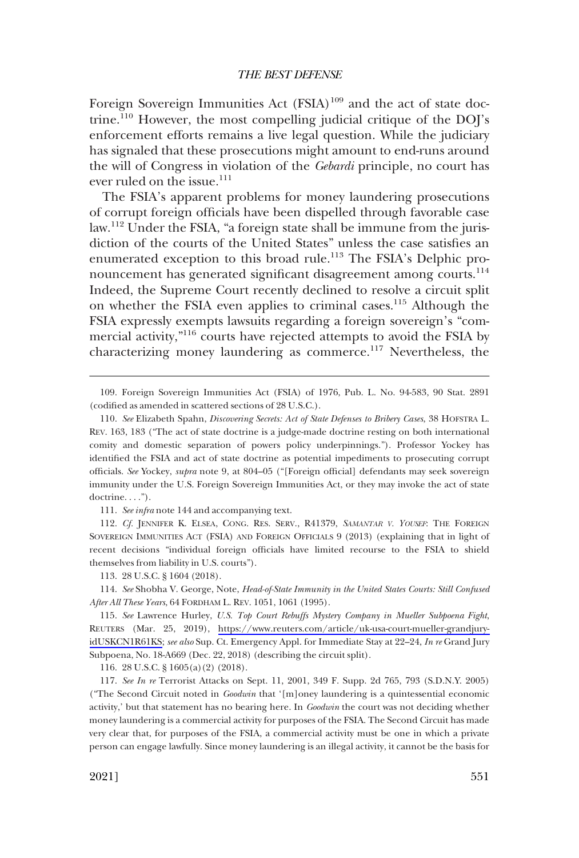Foreign Sovereign Immunities Act (FSIA)<sup>109</sup> and the act of state doctrine.110 However, the most compelling judicial critique of the DOJ's enforcement efforts remains a live legal question. While the judiciary has signaled that these prosecutions might amount to end-runs around the will of Congress in violation of the *Gebardi* principle, no court has ever ruled on the issue.<sup>111</sup>

The FSIA's apparent problems for money laundering prosecutions of corrupt foreign officials have been dispelled through favorable case law.112 Under the FSIA, "a foreign state shall be immune from the jurisdiction of the courts of the United States" unless the case satisfies an enumerated exception to this broad rule.<sup>113</sup> The FSIA's Delphic pronouncement has generated significant disagreement among courts.<sup>114</sup> Indeed, the Supreme Court recently declined to resolve a circuit split on whether the FSIA even applies to criminal cases.<sup>115</sup> Although the FSIA expressly exempts lawsuits regarding a foreign sovereign's "commercial activity,"116 courts have rejected attempts to avoid the FSIA by characterizing money laundering as commerce.117 Nevertheless, the

112. *Cf.* JENNIFER K. ELSEA, CONG. RES. SERV., R41379, *SAMANTAR V. YOUSEF*: THE FOREIGN SOVEREIGN IMMUNITIES ACT (FSIA) AND FOREIGN OFFICIALS 9 (2013) (explaining that in light of recent decisions "individual foreign officials have limited recourse to the FSIA to shield themselves from liability in U.S. courts").

113. 28 U.S.C. § 1604 (2018).

114. *See* Shobha V. George, Note, *Head-of-State Immunity in the United States Courts: Still Confused After All These Years*, 64 FORDHAM L. REV. 1051, 1061 (1995).

*See* Lawrence Hurley, *U.S. Top Court Rebuffs Mystery Company in Mueller Subpoena Fight*, 115. REUTERS (Mar. 25, 2019), [https://www.reuters.com/article/uk-usa-court-mueller-grandjury](https://www.reuters.com/article/uk-usa-court-mueller-grandjury-idUSKCN1R61KS)[idUSKCN1R61KS](https://www.reuters.com/article/uk-usa-court-mueller-grandjury-idUSKCN1R61KS); *see also* Sup. Ct. Emergency Appl. for Immediate Stay at 22–24, *In re* Grand Jury Subpoena, No. 18-A669 (Dec. 22, 2018) (describing the circuit split).

116. 28 U.S.C. § 1605(a)(2) (2018).

117. *See In re* Terrorist Attacks on Sept. 11, 2001, 349 F. Supp. 2d 765, 793 (S.D.N.Y. 2005) ("The Second Circuit noted in *Goodwin* that '[m]oney laundering is a quintessential economic activity,' but that statement has no bearing here. In *Goodwin* the court was not deciding whether money laundering is a commercial activity for purposes of the FSIA. The Second Circuit has made very clear that, for purposes of the FSIA, a commercial activity must be one in which a private person can engage lawfully. Since money laundering is an illegal activity, it cannot be the basis for

<sup>109.</sup> Foreign Sovereign Immunities Act (FSIA) of 1976, Pub. L. No. 94-583, 90 Stat. 2891 (codified as amended in scattered sections of 28 U.S.C.).

<sup>110.</sup> *See* Elizabeth Spahn, *Discovering Secrets: Act of State Defenses to Bribery Cases*, 38 HOFSTRA L. REV. 163, 183 ("The act of state doctrine is a judge-made doctrine resting on both international comity and domestic separation of powers policy underpinnings."). Professor Yockey has identified the FSIA and act of state doctrine as potential impediments to prosecuting corrupt officials. *See* Yockey, *supra* note 9, at 804–05 ("[Foreign official] defendants may seek sovereign immunity under the U.S. Foreign Sovereign Immunities Act, or they may invoke the act of state doctrine....").

<sup>111.</sup> *See infra* note 144 and accompanying text.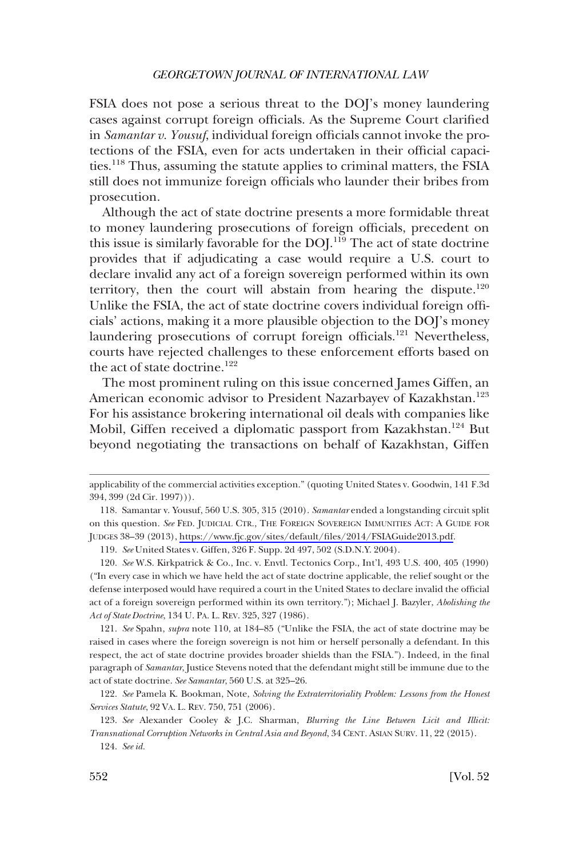FSIA does not pose a serious threat to the DOJ's money laundering cases against corrupt foreign officials. As the Supreme Court clarified in *Samantar v. Yousuf*, individual foreign officials cannot invoke the protections of the FSIA, even for acts undertaken in their official capacities.118 Thus, assuming the statute applies to criminal matters, the FSIA still does not immunize foreign officials who launder their bribes from prosecution.

Although the act of state doctrine presents a more formidable threat to money laundering prosecutions of foreign officials, precedent on this issue is similarly favorable for the DOJ.<sup>119</sup> The act of state doctrine provides that if adjudicating a case would require a U.S. court to declare invalid any act of a foreign sovereign performed within its own territory, then the court will abstain from hearing the dispute.<sup>120</sup> Unlike the FSIA, the act of state doctrine covers individual foreign officials' actions, making it a more plausible objection to the DOJ's money laundering prosecutions of corrupt foreign officials.<sup>121</sup> Nevertheless, courts have rejected challenges to these enforcement efforts based on the act of state doctrine.<sup>122</sup>

The most prominent ruling on this issue concerned James Giffen, an American economic advisor to President Nazarbayev of Kazakhstan.<sup>123</sup> For his assistance brokering international oil deals with companies like Mobil, Giffen received a diplomatic passport from Kazakhstan.<sup>124</sup> But beyond negotiating the transactions on behalf of Kazakhstan, Giffen

119. *See* United States v. Giffen, 326 F. Supp. 2d 497, 502 (S.D.N.Y. 2004).

121. *See* Spahn, *supra* note 110, at 184–85 ("Unlike the FSIA, the act of state doctrine may be raised in cases where the foreign sovereign is not him or herself personally a defendant. In this respect, the act of state doctrine provides broader shields than the FSIA."). Indeed, in the final paragraph of *Samantar*, Justice Stevens noted that the defendant might still be immune due to the act of state doctrine. *See Samantar*, 560 U.S. at 325–26.

applicability of the commercial activities exception." (quoting United States v. Goodwin, 141 F.3d 394, 399 (2d Cir. 1997))).

<sup>118.</sup> Samantar v. Yousuf, 560 U.S. 305, 315 (2010). *Samantar* ended a longstanding circuit split on this question. *See* FED. JUDICIAL CTR., THE FOREIGN SOVEREIGN IMMUNITIES ACT: A GUIDE FOR JUDGES 38–39 (2013), [https://www.fjc.gov/sites/default/files/2014/FSIAGuide2013.pdf.](https://www.fjc.gov/sites/default/files/2014/FSIAGuide2013.pdf)

<sup>120.</sup> *See* W.S. Kirkpatrick & Co., Inc. v. Envtl. Tectonics Corp., Int'l, 493 U.S. 400, 405 (1990) ("In every case in which we have held the act of state doctrine applicable, the relief sought or the defense interposed would have required a court in the United States to declare invalid the official act of a foreign sovereign performed within its own territory."); Michael J. Bazyler, *Abolishing the Act of State Doctrine*, 134 U. PA. L. REV. 325, 327 (1986).

<sup>122.</sup> *See* Pamela K. Bookman, Note, *Solving the Extraterritoriality Problem: Lessons from the Honest Services Statute*, 92 VA. L. REV. 750, 751 (2006).

<sup>123.</sup> *See* Alexander Cooley & J.C. Sharman, *Blurring the Line Between Licit and Illicit: Transnational Corruption Networks in Central Asia and Beyond*, 34 CENT. ASIAN SURV. 11, 22 (2015).

<sup>124.</sup> *See id.*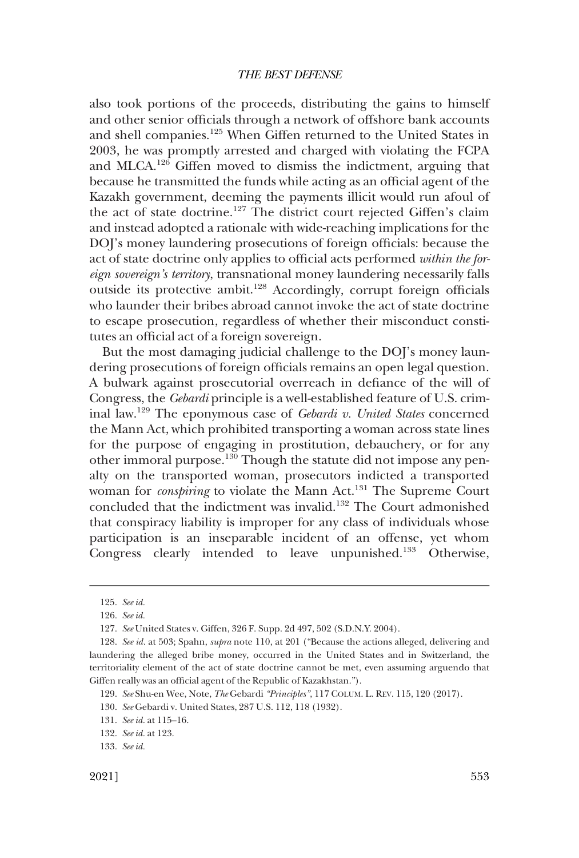also took portions of the proceeds, distributing the gains to himself and other senior officials through a network of offshore bank accounts and shell companies.125 When Giffen returned to the United States in 2003, he was promptly arrested and charged with violating the FCPA and MLCA.126 Giffen moved to dismiss the indictment, arguing that because he transmitted the funds while acting as an official agent of the Kazakh government, deeming the payments illicit would run afoul of the act of state doctrine.<sup>127</sup> The district court rejected Giffen's claim and instead adopted a rationale with wide-reaching implications for the DOJ's money laundering prosecutions of foreign officials: because the act of state doctrine only applies to official acts performed *within the foreign sovereign's territory*, transnational money laundering necessarily falls outside its protective ambit.128 Accordingly, corrupt foreign officials who launder their bribes abroad cannot invoke the act of state doctrine to escape prosecution, regardless of whether their misconduct constitutes an official act of a foreign sovereign.

But the most damaging judicial challenge to the DOJ's money laundering prosecutions of foreign officials remains an open legal question. A bulwark against prosecutorial overreach in defiance of the will of Congress, the *Gebardi* principle is a well-established feature of U.S. criminal law.129 The eponymous case of *Gebardi v. United States* concerned the Mann Act, which prohibited transporting a woman across state lines for the purpose of engaging in prostitution, debauchery, or for any other immoral purpose.130 Though the statute did not impose any penalty on the transported woman, prosecutors indicted a transported woman for *conspiring* to violate the Mann Act.<sup>131</sup> The Supreme Court concluded that the indictment was invalid.132 The Court admonished that conspiracy liability is improper for any class of individuals whose participation is an inseparable incident of an offense, yet whom Congress clearly intended to leave unpunished.133 Otherwise,

<sup>125.</sup> *See id.* 

<sup>126.</sup> *See id.* 

<sup>127.</sup> *See* United States v. Giffen, 326 F. Supp. 2d 497, 502 (S.D.N.Y. 2004).

<sup>128.</sup> *See id.* at 503; Spahn, *supra* note 110, at 201 ("Because the actions alleged, delivering and laundering the alleged bribe money, occurred in the United States and in Switzerland, the territoriality element of the act of state doctrine cannot be met, even assuming arguendo that Giffen really was an official agent of the Republic of Kazakhstan.").

<sup>129.</sup> *See* Shu-en Wee, Note, *The* Gebardi *"Principles"*, 117 COLUM. L. REV. 115, 120 (2017).

<sup>130.</sup> *See* Gebardi v. United States, 287 U.S. 112, 118 (1932).

<sup>131.</sup> *See id.* at 115–16.

<sup>132.</sup> *See id.* at 123.

<sup>133.</sup> *See id.*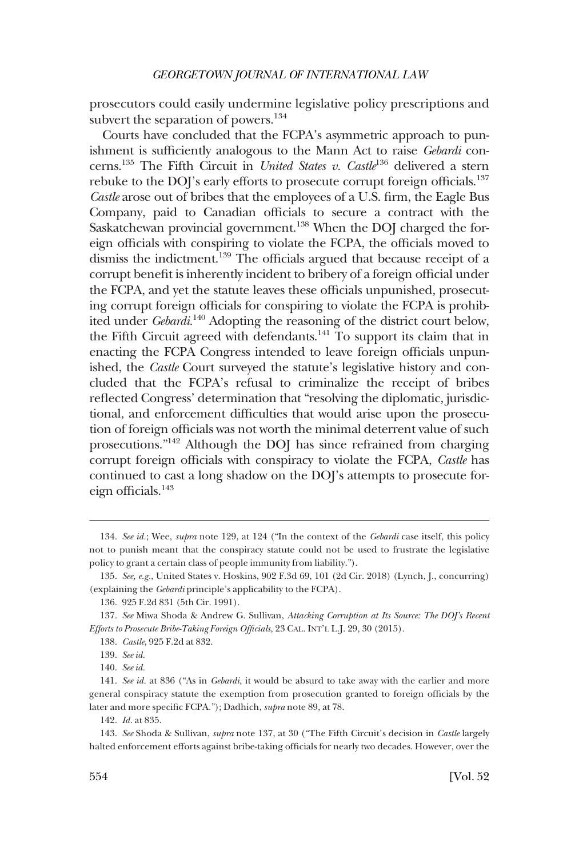prosecutors could easily undermine legislative policy prescriptions and subvert the separation of powers. $134$ 

Courts have concluded that the FCPA's asymmetric approach to punishment is sufficiently analogous to the Mann Act to raise *Gebardi* concerns.135 The Fifth Circuit in *United States v. Castle*136 delivered a stern rebuke to the DOJ's early efforts to prosecute corrupt foreign officials.<sup>137</sup> *Castle* arose out of bribes that the employees of a U.S. firm, the Eagle Bus Company, paid to Canadian officials to secure a contract with the Saskatchewan provincial government.<sup>138</sup> When the DOJ charged the foreign officials with conspiring to violate the FCPA, the officials moved to dismiss the indictment.<sup>139</sup> The officials argued that because receipt of a corrupt benefit is inherently incident to bribery of a foreign official under the FCPA, and yet the statute leaves these officials unpunished, prosecuting corrupt foreign officials for conspiring to violate the FCPA is prohibited under *Gebardi*. 140 Adopting the reasoning of the district court below, the Fifth Circuit agreed with defendants.<sup>141</sup> To support its claim that in enacting the FCPA Congress intended to leave foreign officials unpunished, the *Castle* Court surveyed the statute's legislative history and concluded that the FCPA's refusal to criminalize the receipt of bribes reflected Congress' determination that "resolving the diplomatic, jurisdictional, and enforcement difficulties that would arise upon the prosecution of foreign officials was not worth the minimal deterrent value of such prosecutions."142 Although the DOJ has since refrained from charging corrupt foreign officials with conspiracy to violate the FCPA, *Castle* has continued to cast a long shadow on the DOJ's attempts to prosecute foreign officials.<sup>143</sup>

<sup>134.</sup> *See id.*; Wee, *supra* note 129, at 124 ("In the context of the *Gebardi* case itself, this policy not to punish meant that the conspiracy statute could not be used to frustrate the legislative policy to grant a certain class of people immunity from liability.").

<sup>135.</sup> *See, e.g.*, United States v. Hoskins, 902 F.3d 69, 101 (2d Cir. 2018) (Lynch, J., concurring) (explaining the *Gebardi* principle's applicability to the FCPA).

<sup>136. 925</sup> F.2d 831 (5th Cir. 1991).

<sup>137.</sup> *See* Miwa Shoda & Andrew G. Sullivan, *Attacking Corruption at Its Source: The DOJ's Recent Efforts to Prosecute Bribe-Taking Foreign Officials*, 23 CAL. INT'L L.J. 29, 30 (2015).

<sup>138.</sup> *Castle*, 925 F.2d at 832.

<sup>139.</sup> *See id.* 

<sup>140.</sup> *See id.* 

<sup>141.</sup> *See id.* at 836 ("As in *Gebardi*, it would be absurd to take away with the earlier and more general conspiracy statute the exemption from prosecution granted to foreign officials by the later and more specific FCPA."); Dadhich, *supra* note 89, at 78.

<sup>142.</sup> *Id.* at 835.

<sup>143.</sup> *See* Shoda & Sullivan, *supra* note 137, at 30 ("The Fifth Circuit's decision in *Castle* largely halted enforcement efforts against bribe-taking officials for nearly two decades. However, over the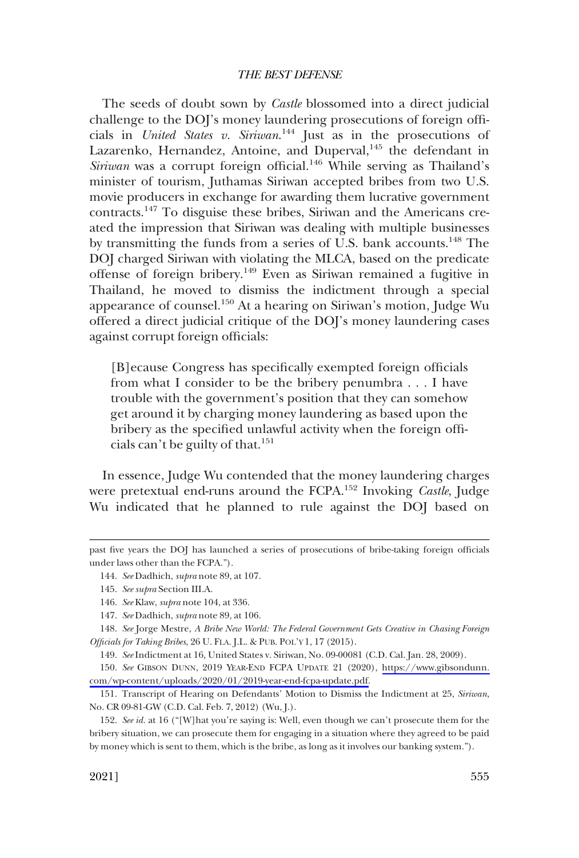The seeds of doubt sown by *Castle* blossomed into a direct judicial challenge to the DOJ's money laundering prosecutions of foreign officials in *United States v. Siriwan*. 144 Just as in the prosecutions of Lazarenko, Hernandez, Antoine, and Duperval,<sup>145</sup> the defendant in *Siriwan* was a corrupt foreign official.<sup>146</sup> While serving as Thailand's minister of tourism, Juthamas Siriwan accepted bribes from two U.S. movie producers in exchange for awarding them lucrative government contracts.147 To disguise these bribes, Siriwan and the Americans created the impression that Siriwan was dealing with multiple businesses by transmitting the funds from a series of U.S. bank accounts.<sup>148</sup> The DOJ charged Siriwan with violating the MLCA, based on the predicate offense of foreign bribery.149 Even as Siriwan remained a fugitive in Thailand, he moved to dismiss the indictment through a special appearance of counsel.<sup>150</sup> At a hearing on Siriwan's motion, Judge Wu offered a direct judicial critique of the DOJ's money laundering cases against corrupt foreign officials:

[B]ecause Congress has specifically exempted foreign officials from what I consider to be the bribery penumbra . . . I have trouble with the government's position that they can somehow get around it by charging money laundering as based upon the bribery as the specified unlawful activity when the foreign officials can't be guilty of that.<sup>151</sup>

In essence, Judge Wu contended that the money laundering charges were pretextual end-runs around the FCPA.152 Invoking *Castle*, Judge Wu indicated that he planned to rule against the DOJ based on

149. *See* Indictment at 16, United States v. Siriwan, No. 09-00081 (C.D. Cal. Jan. 28, 2009).

150. See GIBSON DUNN, 2019 YEAR-END FCPA UPDATE 21 (2020), [https://www.gibsondunn.](https://www.gibsondunn.com/wp-content/uploads/2020/01/2019-year-end-fcpa-update.pdf) [com/wp-content/uploads/2020/01/2019-year-end-fcpa-update.pdf](https://www.gibsondunn.com/wp-content/uploads/2020/01/2019-year-end-fcpa-update.pdf).

151. Transcript of Hearing on Defendants' Motion to Dismiss the Indictment at 25, *Siriwan*, No. CR 09-81-GW (C.D. Cal. Feb. 7, 2012) (Wu, J.).

152. *See id.* at 16 ("[W]hat you're saying is: Well, even though we can't prosecute them for the bribery situation, we can prosecute them for engaging in a situation where they agreed to be paid by money which is sent to them, which is the bribe, as long as it involves our banking system.").

past five years the DOJ has launched a series of prosecutions of bribe-taking foreign officials under laws other than the FCPA.").

<sup>144.</sup> *See* Dadhich, *supra* note 89, at 107.

<sup>145.</sup> *See supra* Section III.A.

<sup>146.</sup> *See* Klaw, *supra* note 104, at 336.

<sup>147.</sup> *See* Dadhich, *supra* note 89, at 106.

<sup>148.</sup> *See* Jorge Mestre, *A Bribe New World: The Federal Government Gets Creative in Chasing Foreign Officials for Taking Bribes*, 26 U. FLA. J.L. & PUB. POL'Y 1, 17 (2015).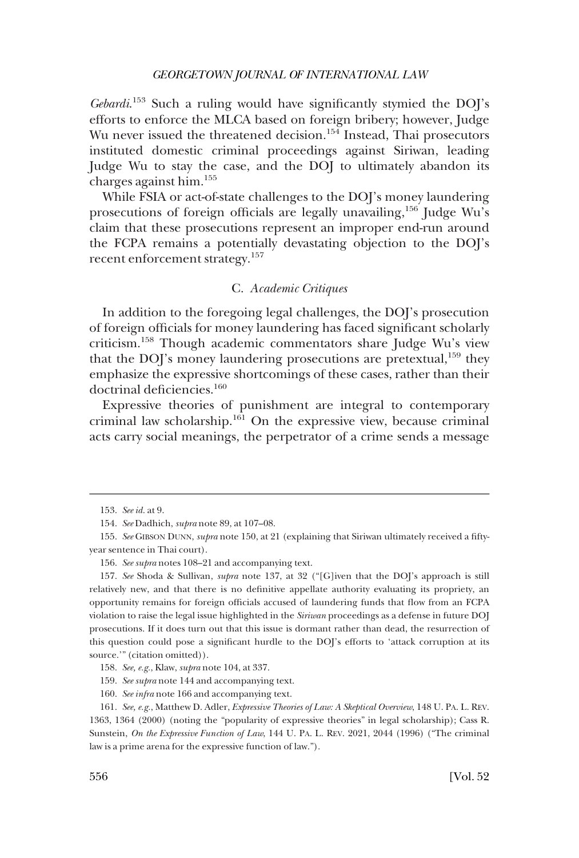<span id="page-21-0"></span>*Gebardi*. 153 Such a ruling would have significantly stymied the DOJ's efforts to enforce the MLCA based on foreign bribery; however, Judge Wu never issued the threatened decision.<sup>154</sup> Instead, Thai prosecutors instituted domestic criminal proceedings against Siriwan, leading Judge Wu to stay the case, and the DOJ to ultimately abandon its charges against him.155

While FSIA or act-of-state challenges to the DOJ's money laundering prosecutions of foreign officials are legally unavailing,<sup>156</sup> Judge Wu's claim that these prosecutions represent an improper end-run around the FCPA remains a potentially devastating objection to the DOJ's recent enforcement strategy.<sup>157</sup>

# C. *Academic Critiques*

In addition to the foregoing legal challenges, the DOJ's prosecution of foreign officials for money laundering has faced significant scholarly criticism.158 Though academic commentators share Judge Wu's view that the DOJ's money laundering prosecutions are pretextual, $159$  they emphasize the expressive shortcomings of these cases, rather than their doctrinal deficiencies.<sup>160</sup>

Expressive theories of punishment are integral to contemporary criminal law scholarship.161 On the expressive view, because criminal acts carry social meanings, the perpetrator of a crime sends a message

159. *See supra* note 144 and accompanying text.

<sup>153.</sup> *See id.* at 9.

<sup>154.</sup> *See* Dadhich, *supra* note 89, at 107–08.

<sup>155.</sup> *See* GIBSON DUNN, *supra* note 150, at 21 (explaining that Siriwan ultimately received a fiftyyear sentence in Thai court).

<sup>156.</sup> *See supra* notes 108–21 and accompanying text.

<sup>157.</sup> *See* Shoda & Sullivan, *supra* note 137, at 32 ("[G]iven that the DOJ's approach is still relatively new, and that there is no definitive appellate authority evaluating its propriety, an opportunity remains for foreign officials accused of laundering funds that flow from an FCPA violation to raise the legal issue highlighted in the *Siriwan* proceedings as a defense in future DOJ prosecutions. If it does turn out that this issue is dormant rather than dead, the resurrection of this question could pose a significant hurdle to the DOJ's efforts to 'attack corruption at its source.'" (citation omitted)).

<sup>158.</sup> *See, e.g.*, Klaw, *supra* note 104, at 337.

<sup>160.</sup> *See infra* note 166 and accompanying text.

<sup>161.</sup> *See, e.g.*, Matthew D. Adler, *Expressive Theories of Law: A Skeptical Overview*, 148 U. PA. L. REV. 1363, 1364 (2000) (noting the "popularity of expressive theories" in legal scholarship); Cass R. Sunstein, *On the Expressive Function of Law*, 144 U. PA. L. REV. 2021, 2044 (1996) ("The criminal law is a prime arena for the expressive function of law.").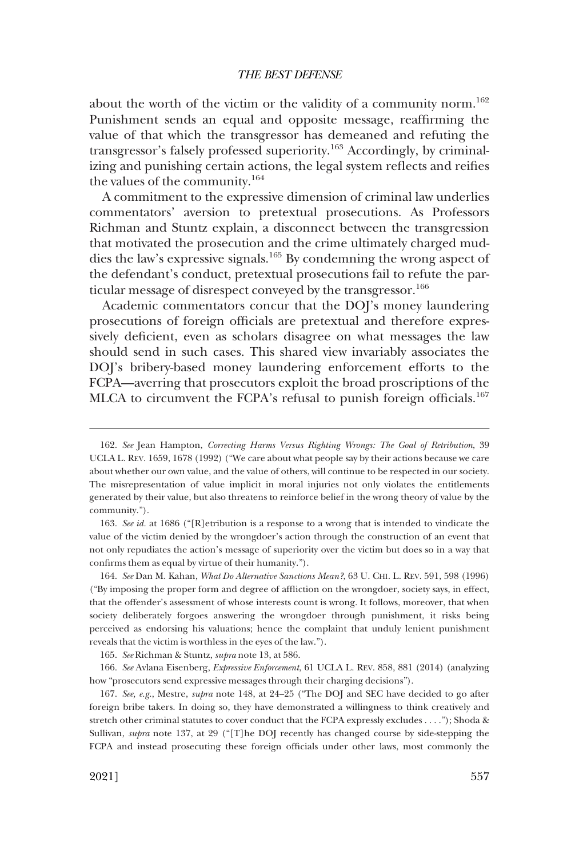about the worth of the victim or the validity of a community norm.<sup>162</sup> Punishment sends an equal and opposite message, reaffirming the value of that which the transgressor has demeaned and refuting the transgressor's falsely professed superiority.163 Accordingly, by criminalizing and punishing certain actions, the legal system reflects and reifies the values of the community.<sup>164</sup>

A commitment to the expressive dimension of criminal law underlies commentators' aversion to pretextual prosecutions. As Professors Richman and Stuntz explain, a disconnect between the transgression that motivated the prosecution and the crime ultimately charged muddies the law's expressive signals.165 By condemning the wrong aspect of the defendant's conduct, pretextual prosecutions fail to refute the particular message of disrespect conveyed by the transgressor.<sup>166</sup>

Academic commentators concur that the DOJ's money laundering prosecutions of foreign officials are pretextual and therefore expressively deficient, even as scholars disagree on what messages the law should send in such cases. This shared view invariably associates the DOJ's bribery-based money laundering enforcement efforts to the FCPA—averring that prosecutors exploit the broad proscriptions of the MLCA to circumvent the FCPA's refusal to punish foreign officials.<sup>167</sup>

163. *See id.* at 1686 ("[R]etribution is a response to a wrong that is intended to vindicate the value of the victim denied by the wrongdoer's action through the construction of an event that not only repudiates the action's message of superiority over the victim but does so in a way that confirms them as equal by virtue of their humanity.").

164. *See* Dan M. Kahan, *What Do Alternative Sanctions Mean?*, 63 U. CHI. L. REV. 591, 598 (1996) ("By imposing the proper form and degree of affliction on the wrongdoer, society says, in effect, that the offender's assessment of whose interests count is wrong. It follows, moreover, that when society deliberately forgoes answering the wrongdoer through punishment, it risks being perceived as endorsing his valuations; hence the complaint that unduly lenient punishment reveals that the victim is worthless in the eyes of the law.").

165. *See* Richman & Stuntz, *supra* note 13, at 586.

166. *See* Avlana Eisenberg, *Expressive Enforcement*, 61 UCLA L. REV. 858, 881 (2014) (analyzing how "prosecutors send expressive messages through their charging decisions").

167. *See, e.g.*, Mestre, *supra* note 148, at 24–25 ("The DOJ and SEC have decided to go after foreign bribe takers. In doing so, they have demonstrated a willingness to think creatively and stretch other criminal statutes to cover conduct that the FCPA expressly excludes . . . ."); Shoda & Sullivan, *supra* note 137, at 29 ("[T]he DOJ recently has changed course by side-stepping the FCPA and instead prosecuting these foreign officials under other laws, most commonly the

<sup>162.</sup> *See* Jean Hampton, *Correcting Harms Versus Righting Wrongs: The Goal of Retribution*, 39 UCLA L. REV. 1659, 1678 (1992) ("We care about what people say by their actions because we care about whether our own value, and the value of others, will continue to be respected in our society. The misrepresentation of value implicit in moral injuries not only violates the entitlements generated by their value, but also threatens to reinforce belief in the wrong theory of value by the community.").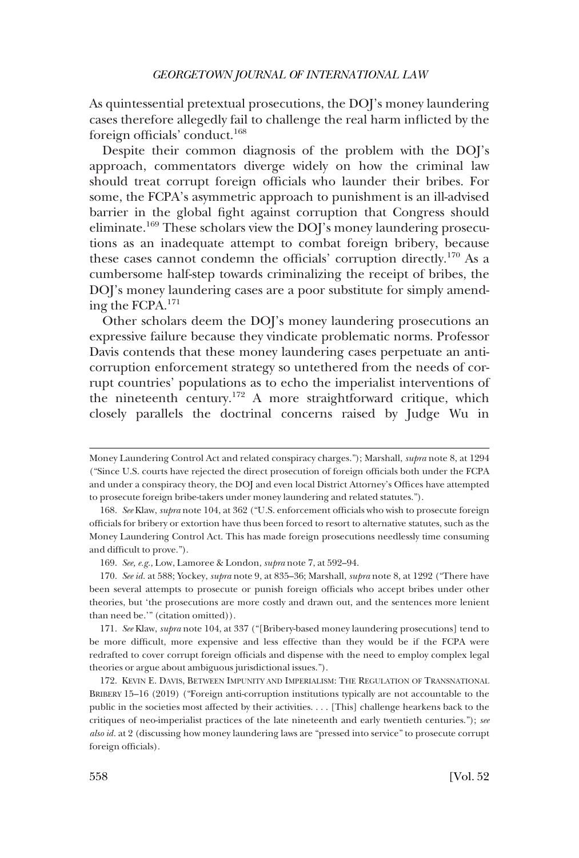As quintessential pretextual prosecutions, the DOJ's money laundering cases therefore allegedly fail to challenge the real harm inflicted by the foreign officials' conduct.168

Despite their common diagnosis of the problem with the DOJ's approach, commentators diverge widely on how the criminal law should treat corrupt foreign officials who launder their bribes. For some, the FCPA's asymmetric approach to punishment is an ill-advised barrier in the global fight against corruption that Congress should eliminate.169 These scholars view the DOJ's money laundering prosecutions as an inadequate attempt to combat foreign bribery, because these cases cannot condemn the officials' corruption directly.<sup>170</sup> As a cumbersome half-step towards criminalizing the receipt of bribes, the DOJ's money laundering cases are a poor substitute for simply amending the FCPA.171

Other scholars deem the DOJ's money laundering prosecutions an expressive failure because they vindicate problematic norms. Professor Davis contends that these money laundering cases perpetuate an anticorruption enforcement strategy so untethered from the needs of corrupt countries' populations as to echo the imperialist interventions of the nineteenth century.<sup>172</sup> A more straightforward critique, which closely parallels the doctrinal concerns raised by Judge Wu in

Money Laundering Control Act and related conspiracy charges."); Marshall, *supra* note 8, at 1294 ("Since U.S. courts have rejected the direct prosecution of foreign officials both under the FCPA and under a conspiracy theory, the DOJ and even local District Attorney's Offices have attempted to prosecute foreign bribe-takers under money laundering and related statutes.").

<sup>168.</sup> *See* Klaw, *supra* note 104, at 362 ("U.S. enforcement officials who wish to prosecute foreign officials for bribery or extortion have thus been forced to resort to alternative statutes, such as the Money Laundering Control Act. This has made foreign prosecutions needlessly time consuming and difficult to prove.").

<sup>169.</sup> *See, e.g.*, Low, Lamoree & London, *supra* note 7, at 592–94.

<sup>170.</sup> *See id.* at 588; Yockey, *supra* note 9, at 835–36; Marshall, *supra* note 8, at 1292 ("There have been several attempts to prosecute or punish foreign officials who accept bribes under other theories, but 'the prosecutions are more costly and drawn out, and the sentences more lenient than need be.'" (citation omitted)).

<sup>171.</sup> *See* Klaw, *supra* note 104, at 337 ("[Bribery-based money laundering prosecutions] tend to be more difficult, more expensive and less effective than they would be if the FCPA were redrafted to cover corrupt foreign officials and dispense with the need to employ complex legal theories or argue about ambiguous jurisdictional issues.").

<sup>172.</sup> KEVIN E. DAVIS, BETWEEN IMPUNITY AND IMPERIALISM: THE REGULATION OF TRANSNATIONAL BRIBERY 15–16 (2019) ("Foreign anti-corruption institutions typically are not accountable to the public in the societies most affected by their activities. . . . [This] challenge hearkens back to the critiques of neo-imperialist practices of the late nineteenth and early twentieth centuries."); *see also id.* at 2 (discussing how money laundering laws are "pressed into service" to prosecute corrupt foreign officials).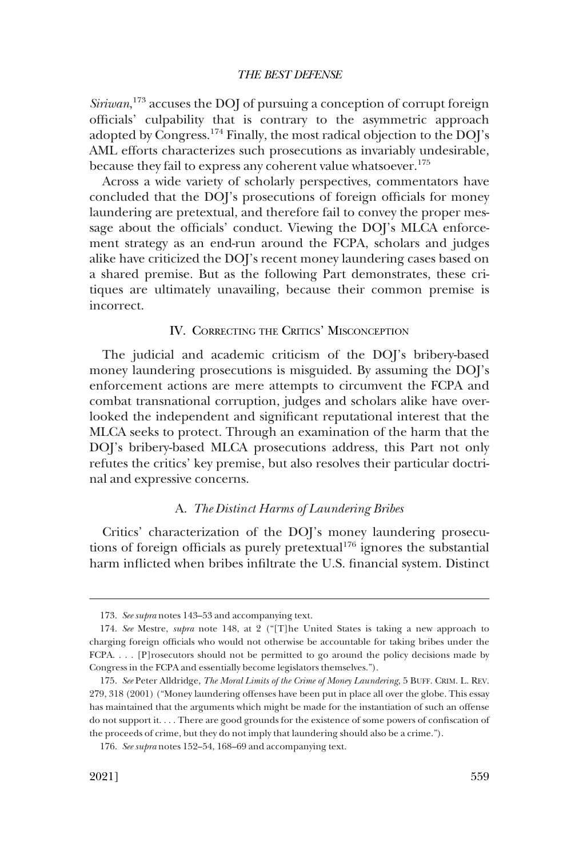<span id="page-24-0"></span>*Siriwan*, 173 accuses the DOJ of pursuing a conception of corrupt foreign officials' culpability that is contrary to the asymmetric approach adopted by Congress.174 Finally, the most radical objection to the DOJ's AML efforts characterizes such prosecutions as invariably undesirable, because they fail to express any coherent value whatsoever.<sup>175</sup>

Across a wide variety of scholarly perspectives, commentators have concluded that the DOJ's prosecutions of foreign officials for money laundering are pretextual, and therefore fail to convey the proper message about the officials' conduct. Viewing the DOJ's MLCA enforcement strategy as an end-run around the FCPA, scholars and judges alike have criticized the DOJ's recent money laundering cases based on a shared premise. But as the following Part demonstrates, these critiques are ultimately unavailing, because their common premise is incorrect.

# IV. CORRECTING THE CRITICS' MISCONCEPTION

The judicial and academic criticism of the DOJ's bribery-based money laundering prosecutions is misguided. By assuming the DOJ's enforcement actions are mere attempts to circumvent the FCPA and combat transnational corruption, judges and scholars alike have overlooked the independent and significant reputational interest that the MLCA seeks to protect. Through an examination of the harm that the DOJ's bribery-based MLCA prosecutions address, this Part not only refutes the critics' key premise, but also resolves their particular doctrinal and expressive concerns.

#### A. *The Distinct Harms of Laundering Bribes*

Critics' characterization of the DOJ's money laundering prosecutions of foreign officials as purely pretextual<sup>176</sup> ignores the substantial harm inflicted when bribes infiltrate the U.S. financial system. Distinct

<sup>173.</sup> *See supra* notes 143–53 and accompanying text.

<sup>174.</sup> *See* Mestre, *supra* note 148, at 2 ("[T]he United States is taking a new approach to charging foreign officials who would not otherwise be accountable for taking bribes under the FCPA. . . . [P]rosecutors should not be permitted to go around the policy decisions made by Congress in the FCPA and essentially become legislators themselves.").

<sup>175.</sup> *See* Peter Alldridge, *The Moral Limits of the Crime of Money Laundering*, 5 BUFF. CRIM. L. REV. 279, 318 (2001) ("Money laundering offenses have been put in place all over the globe. This essay has maintained that the arguments which might be made for the instantiation of such an offense do not support it. . . . There are good grounds for the existence of some powers of confiscation of the proceeds of crime, but they do not imply that laundering should also be a crime.").

<sup>176.</sup> *See supra* notes 152–54, 168–69 and accompanying text.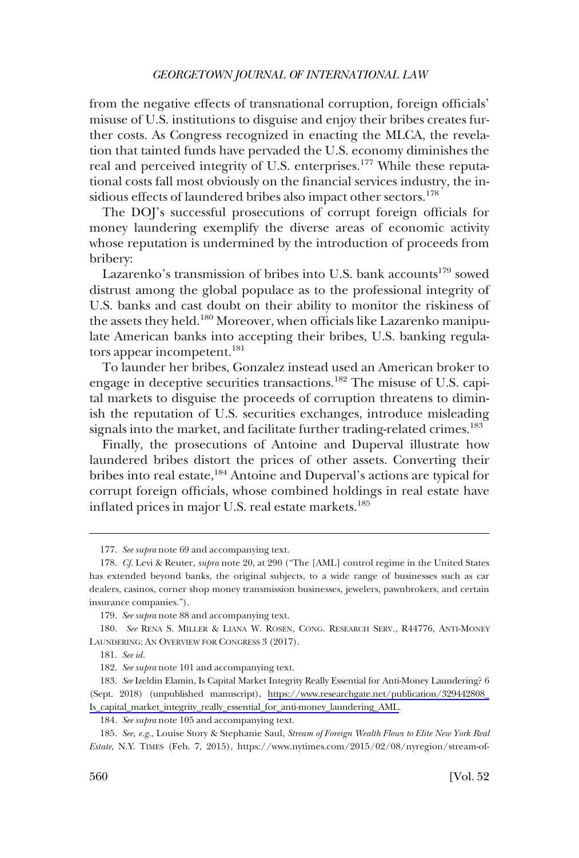from the negative effects of transnational corruption, foreign officials' misuse of U.S. institutions to disguise and enjoy their bribes creates further costs. As Congress recognized in enacting the MLCA, the revelation that tainted funds have pervaded the U.S. economy diminishes the real and perceived integrity of U.S. enterprises.<sup>177</sup> While these reputational costs fall most obviously on the financial services industry, the insidious effects of laundered bribes also impact other sectors.<sup>178</sup>

The DOJ's successful prosecutions of corrupt foreign officials for money laundering exemplify the diverse areas of economic activity whose reputation is undermined by the introduction of proceeds from bribery:

Lazarenko's transmission of bribes into U.S. bank accounts<sup>179</sup> sowed distrust among the global populace as to the professional integrity of U.S. banks and cast doubt on their ability to monitor the riskiness of the assets they held.<sup>180</sup> Moreover, when officials like Lazarenko manipulate American banks into accepting their bribes, U.S. banking regulators appear incompetent.<sup>181</sup>

To launder her bribes, Gonzalez instead used an American broker to engage in deceptive securities transactions.182 The misuse of U.S. capital markets to disguise the proceeds of corruption threatens to diminish the reputation of U.S. securities exchanges, introduce misleading signals into the market, and facilitate further trading-related crimes.<sup>183</sup>

Finally, the prosecutions of Antoine and Duperval illustrate how laundered bribes distort the prices of other assets. Converting their bribes into real estate,<sup>184</sup> Antoine and Duperval's actions are typical for corrupt foreign officials, whose combined holdings in real estate have inflated prices in major U.S. real estate markets.<sup>185</sup>

<sup>177.</sup> *See supra* note 69 and accompanying text.

<sup>178.</sup> *Cf.* Levi & Reuter, *supra* note 20, at 290 ("The [AML] control regime in the United States has extended beyond banks, the original subjects, to a wide range of businesses such as car dealers, casinos, corner shop money transmission businesses, jewelers, pawnbrokers, and certain insurance companies.").

<sup>179.</sup> *See supra* note 88 and accompanying text.

<sup>180.</sup> *See* RENA S. MILLER & LIANA W. ROSEN, CONG. RESEARCH SERV., R44776, ANTI-MONEY LAUNDERING: AN OVERVIEW FOR CONGRESS 3 (2017).

<sup>181.</sup> *See id.* 

<sup>182.</sup> *See supra* note 101 and accompanying text.

*See* Izeldin Elamin, Is Capital Market Integrity Really Essential for Anti-Money Laundering? 6 183. (Sept. 2018) (unpublished manuscript), [https://www.researchgate.net/publication/329442808\\_](https://www.researchgate.net/publication/329442808_Is_capital_market_integrity_really_essential_for_anti-money_laundering_AML)  [Is\\_capital\\_market\\_integrity\\_really\\_essential\\_for\\_anti-money\\_laundering\\_AML.](https://www.researchgate.net/publication/329442808_Is_capital_market_integrity_really_essential_for_anti-money_laundering_AML)

<sup>184.</sup> *See supra* note 105 and accompanying text.

*See, e.g.*, Louise Story & Stephanie Saul, *Stream of Foreign Wealth Flows to Elite New York Real*  185. *Estate*, N.Y. TIMES (Feb. 7, 2015), https://www.nytimes.com/2015/02/08/nyregion/stream-of-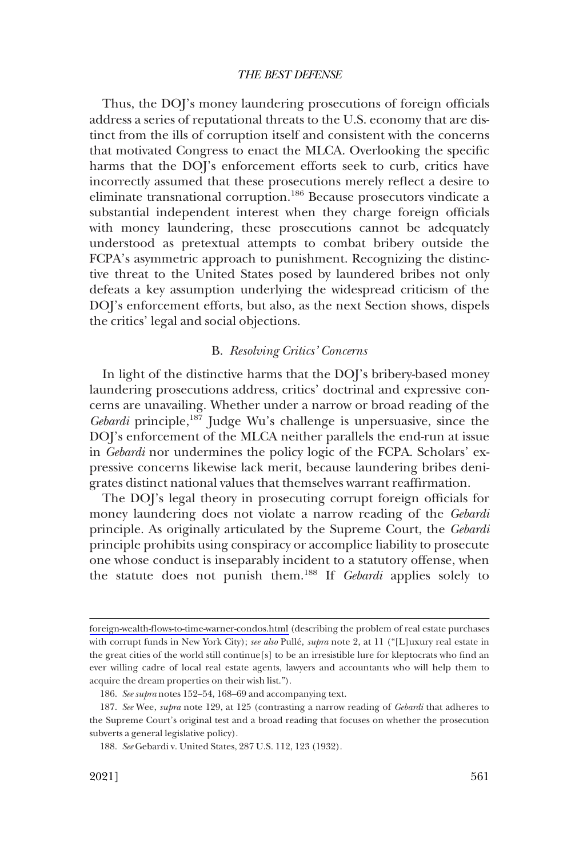<span id="page-26-0"></span>Thus, the DOJ's money laundering prosecutions of foreign officials address a series of reputational threats to the U.S. economy that are distinct from the ills of corruption itself and consistent with the concerns that motivated Congress to enact the MLCA. Overlooking the specific harms that the DOJ's enforcement efforts seek to curb, critics have incorrectly assumed that these prosecutions merely reflect a desire to eliminate transnational corruption.<sup>186</sup> Because prosecutors vindicate a substantial independent interest when they charge foreign officials with money laundering, these prosecutions cannot be adequately understood as pretextual attempts to combat bribery outside the FCPA's asymmetric approach to punishment. Recognizing the distinctive threat to the United States posed by laundered bribes not only defeats a key assumption underlying the widespread criticism of the DOJ's enforcement efforts, but also, as the next Section shows, dispels the critics' legal and social objections.

# B. *Resolving Critics' Concerns*

In light of the distinctive harms that the DOJ's bribery-based money laundering prosecutions address, critics' doctrinal and expressive concerns are unavailing. Whether under a narrow or broad reading of the *Gebardi* principle,<sup>187</sup> Judge Wu's challenge is unpersuasive, since the DOJ's enforcement of the MLCA neither parallels the end-run at issue in *Gebardi* nor undermines the policy logic of the FCPA. Scholars' expressive concerns likewise lack merit, because laundering bribes denigrates distinct national values that themselves warrant reaffirmation.

The DOJ's legal theory in prosecuting corrupt foreign officials for money laundering does not violate a narrow reading of the *Gebardi*  principle. As originally articulated by the Supreme Court, the *Gebardi*  principle prohibits using conspiracy or accomplice liability to prosecute one whose conduct is inseparably incident to a statutory offense, when the statute does not punish them.188 If *Gebardi* applies solely to

[foreign-wealth-flows-to-time-warner-condos.html](https://www.nytimes.com/2015/02/08/nyregion/stream-of-foreign-wealth-flows-to-time-warner-condos.html) (describing the problem of real estate purchases with corrupt funds in New York City); *see also* Pullé, *supra* note 2, at 11 ("[L]uxury real estate in the great cities of the world still continue[s] to be an irresistible lure for kleptocrats who find an ever willing cadre of local real estate agents, lawyers and accountants who will help them to acquire the dream properties on their wish list.").

<sup>186.</sup> *See supra* notes 152–54, 168–69 and accompanying text.

<sup>187.</sup> *See* Wee, *supra* note 129, at 125 (contrasting a narrow reading of *Gebardi* that adheres to the Supreme Court's original test and a broad reading that focuses on whether the prosecution subverts a general legislative policy).

<sup>188.</sup> *See* Gebardi v. United States, 287 U.S. 112, 123 (1932).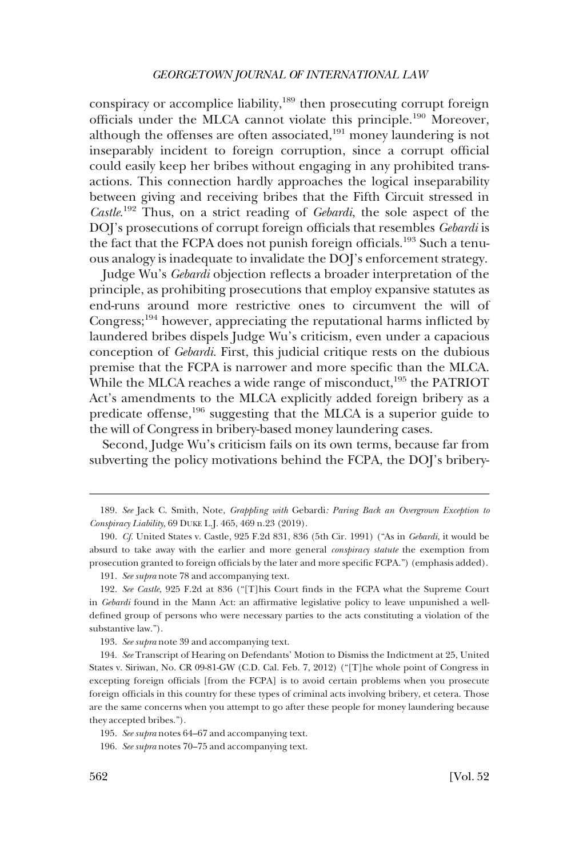conspiracy or accomplice liability,<sup>189</sup> then prosecuting corrupt foreign officials under the MLCA cannot violate this principle.190 Moreover, although the offenses are often associated,<sup>191</sup> money laundering is not inseparably incident to foreign corruption, since a corrupt official could easily keep her bribes without engaging in any prohibited transactions. This connection hardly approaches the logical inseparability between giving and receiving bribes that the Fifth Circuit stressed in *Castle*. 192 Thus, on a strict reading of *Gebardi*, the sole aspect of the DOJ's prosecutions of corrupt foreign officials that resembles *Gebardi* is the fact that the FCPA does not punish foreign officials.<sup>193</sup> Such a tenuous analogy is inadequate to invalidate the DOJ's enforcement strategy.

Judge Wu's *Gebardi* objection reflects a broader interpretation of the principle, as prohibiting prosecutions that employ expansive statutes as end-runs around more restrictive ones to circumvent the will of Congress;194 however, appreciating the reputational harms inflicted by laundered bribes dispels Judge Wu's criticism, even under a capacious conception of *Gebardi*. First, this judicial critique rests on the dubious premise that the FCPA is narrower and more specific than the MLCA. While the MLCA reaches a wide range of misconduct,<sup>195</sup> the PATRIOT Act's amendments to the MLCA explicitly added foreign bribery as a predicate offense,<sup>196</sup> suggesting that the MLCA is a superior guide to the will of Congress in bribery-based money laundering cases.

Second, Judge Wu's criticism fails on its own terms, because far from subverting the policy motivations behind the FCPA, the DOJ's bribery-

<sup>189.</sup> *See* Jack C. Smith, Note, *Grappling with* Gebardi*: Paring Back an Overgrown Exception to Conspiracy Liability*, 69 DUKE L.J. 465, 469 n.23 (2019).

<sup>190.</sup> *Cf.* United States v. Castle, 925 F.2d 831, 836 (5th Cir. 1991) ("As in *Gebardi*, it would be absurd to take away with the earlier and more general *conspiracy statute* the exemption from prosecution granted to foreign officials by the later and more specific FCPA.") (emphasis added).

<sup>191.</sup> *See supra* note 78 and accompanying text.

<sup>192.</sup> *See Castle*, 925 F.2d at 836 ("[T]his Court finds in the FCPA what the Supreme Court in *Gebardi* found in the Mann Act: an affirmative legislative policy to leave unpunished a welldefined group of persons who were necessary parties to the acts constituting a violation of the substantive law.").

<sup>193.</sup> *See supra* note 39 and accompanying text.

<sup>194.</sup> *See* Transcript of Hearing on Defendants' Motion to Dismiss the Indictment at 25, United States v. Siriwan, No. CR 09-81-GW (C.D. Cal. Feb. 7, 2012) ("[T]he whole point of Congress in excepting foreign officials [from the FCPA] is to avoid certain problems when you prosecute foreign officials in this country for these types of criminal acts involving bribery, et cetera. Those are the same concerns when you attempt to go after these people for money laundering because they accepted bribes.").

<sup>195.</sup> *See supra* notes 64–67 and accompanying text.

<sup>196.</sup> *See supra* notes 70–75 and accompanying text.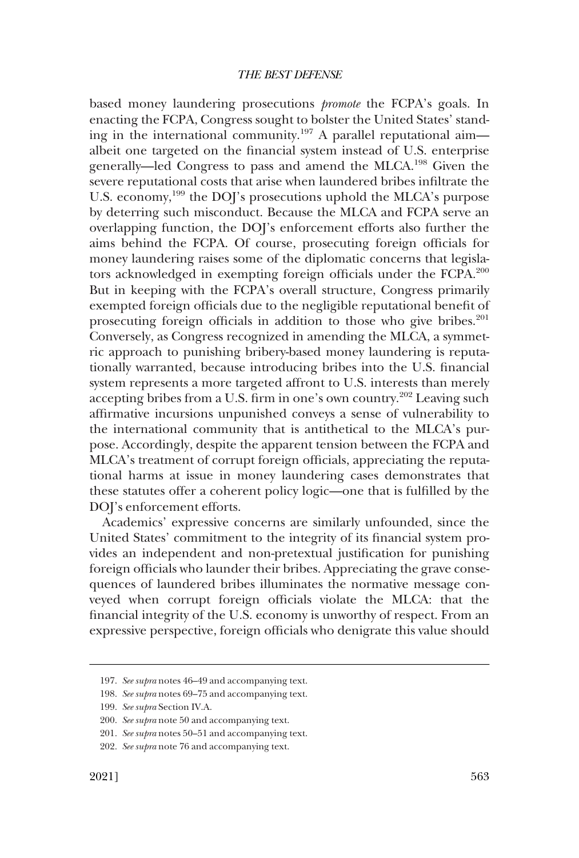based money laundering prosecutions *promote* the FCPA's goals. In enacting the FCPA, Congress sought to bolster the United States' standing in the international community.197 A parallel reputational aim albeit one targeted on the financial system instead of U.S. enterprise generally—led Congress to pass and amend the MLCA.198 Given the severe reputational costs that arise when laundered bribes infiltrate the U.S. economy,<sup>199</sup> the DOJ's prosecutions uphold the MLCA's purpose by deterring such misconduct. Because the MLCA and FCPA serve an overlapping function, the DOJ's enforcement efforts also further the aims behind the FCPA. Of course, prosecuting foreign officials for money laundering raises some of the diplomatic concerns that legislators acknowledged in exempting foreign officials under the FCPA.200 But in keeping with the FCPA's overall structure, Congress primarily exempted foreign officials due to the negligible reputational benefit of prosecuting foreign officials in addition to those who give bribes.<sup>201</sup> Conversely, as Congress recognized in amending the MLCA, a symmetric approach to punishing bribery-based money laundering is reputationally warranted, because introducing bribes into the U.S. financial system represents a more targeted affront to U.S. interests than merely accepting bribes from a U.S. firm in one's own country.202 Leaving such affirmative incursions unpunished conveys a sense of vulnerability to the international community that is antithetical to the MLCA's purpose. Accordingly, despite the apparent tension between the FCPA and MLCA's treatment of corrupt foreign officials, appreciating the reputational harms at issue in money laundering cases demonstrates that these statutes offer a coherent policy logic—one that is fulfilled by the DOJ's enforcement efforts.

Academics' expressive concerns are similarly unfounded, since the United States' commitment to the integrity of its financial system provides an independent and non-pretextual justification for punishing foreign officials who launder their bribes. Appreciating the grave consequences of laundered bribes illuminates the normative message conveyed when corrupt foreign officials violate the MLCA: that the financial integrity of the U.S. economy is unworthy of respect. From an expressive perspective, foreign officials who denigrate this value should

<sup>197.</sup> *See supra* notes 46–49 and accompanying text.

<sup>198.</sup> *See supra* notes 69–75 and accompanying text.

<sup>199.</sup> *See supra* Section IV.A.

<sup>200.</sup> *See supra* note 50 and accompanying text.

<sup>201.</sup> *See supra* notes 50–51 and accompanying text.

<sup>202.</sup> *See supra* note 76 and accompanying text.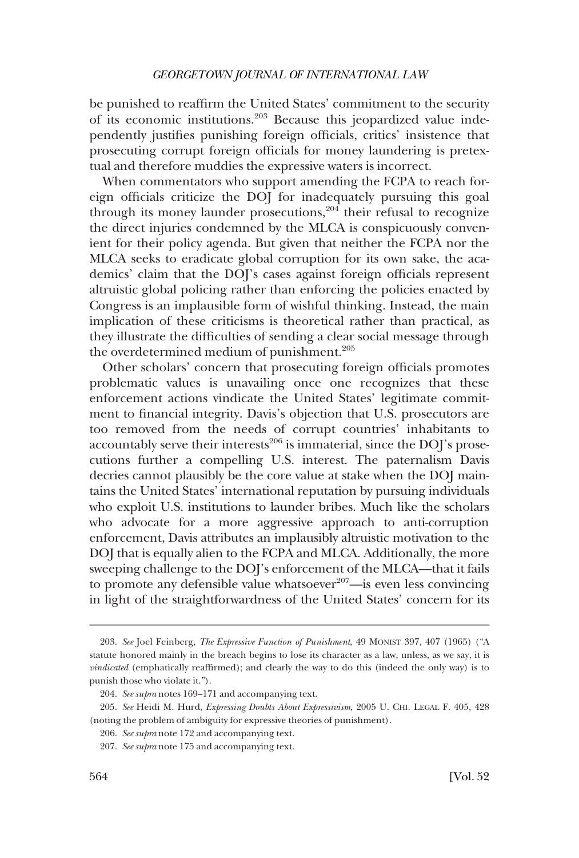be punished to reaffirm the United States' commitment to the security of its economic institutions.203 Because this jeopardized value independently justifies punishing foreign officials, critics' insistence that prosecuting corrupt foreign officials for money laundering is pretextual and therefore muddies the expressive waters is incorrect.

When commentators who support amending the FCPA to reach foreign officials criticize the DOJ for inadequately pursuing this goal through its money launder prosecutions,  $204$  their refusal to recognize the direct injuries condemned by the MLCA is conspicuously convenient for their policy agenda. But given that neither the FCPA nor the MLCA seeks to eradicate global corruption for its own sake, the academics' claim that the DOJ's cases against foreign officials represent altruistic global policing rather than enforcing the policies enacted by Congress is an implausible form of wishful thinking. Instead, the main implication of these criticisms is theoretical rather than practical, as they illustrate the difficulties of sending a clear social message through the overdetermined medium of punishment.<sup>205</sup>

Other scholars' concern that prosecuting foreign officials promotes problematic values is unavailing once one recognizes that these enforcement actions vindicate the United States' legitimate commitment to financial integrity. Davis's objection that U.S. prosecutors are too removed from the needs of corrupt countries' inhabitants to accountably serve their interests $^{206}$  is immaterial, since the DOJ's prosecutions further a compelling U.S. interest. The paternalism Davis decries cannot plausibly be the core value at stake when the DOJ maintains the United States' international reputation by pursuing individuals who exploit U.S. institutions to launder bribes. Much like the scholars who advocate for a more aggressive approach to anti-corruption enforcement, Davis attributes an implausibly altruistic motivation to the DOJ that is equally alien to the FCPA and MLCA. Additionally, the more sweeping challenge to the DOJ's enforcement of the MLCA—that it fails to promote any defensible value whatsoever $207$ —is even less convincing in light of the straightforwardness of the United States' concern for its

<sup>203.</sup> *See* Joel Feinberg, *The Expressive Function of Punishment*, 49 MONIST 397, 407 (1965) ("A statute honored mainly in the breach begins to lose its character as a law, unless, as we say, it is *vindicated* (emphatically reaffirmed); and clearly the way to do this (indeed the only way) is to punish those who violate it.").

<sup>204.</sup> *See supra* notes 169–171 and accompanying text.

<sup>205.</sup> *See* Heidi M. Hurd, *Expressing Doubts About Expressivism*, 2005 U. CHI. LEGAL F. 405, 428 (noting the problem of ambiguity for expressive theories of punishment).

<sup>206.</sup> *See supra* note 172 and accompanying text.

<sup>207.</sup> *See supra* note 175 and accompanying text.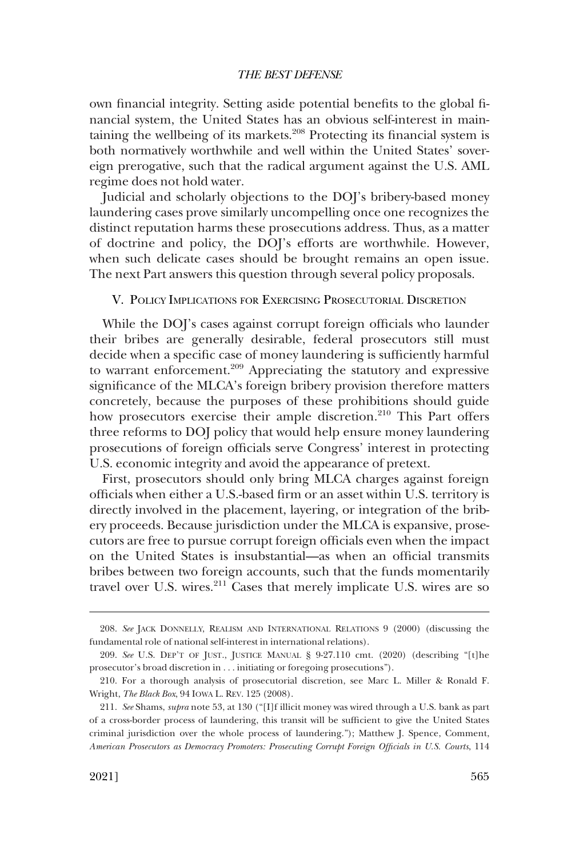<span id="page-30-0"></span>own financial integrity. Setting aside potential benefits to the global financial system, the United States has an obvious self-interest in maintaining the wellbeing of its markets.<sup>208</sup> Protecting its financial system is both normatively worthwhile and well within the United States' sovereign prerogative, such that the radical argument against the U.S. AML regime does not hold water.

Judicial and scholarly objections to the DOJ's bribery-based money laundering cases prove similarly uncompelling once one recognizes the distinct reputation harms these prosecutions address. Thus, as a matter of doctrine and policy, the DOJ's efforts are worthwhile. However, when such delicate cases should be brought remains an open issue. The next Part answers this question through several policy proposals.

# V. POLICY IMPLICATIONS FOR EXERCISING PROSECUTORIAL DISCRETION

While the DOJ's cases against corrupt foreign officials who launder their bribes are generally desirable, federal prosecutors still must decide when a specific case of money laundering is sufficiently harmful to warrant enforcement.209 Appreciating the statutory and expressive significance of the MLCA's foreign bribery provision therefore matters concretely, because the purposes of these prohibitions should guide how prosecutors exercise their ample discretion.<sup>210</sup> This Part offers three reforms to DOJ policy that would help ensure money laundering prosecutions of foreign officials serve Congress' interest in protecting U.S. economic integrity and avoid the appearance of pretext.

First, prosecutors should only bring MLCA charges against foreign officials when either a U.S.-based firm or an asset within U.S. territory is directly involved in the placement, layering, or integration of the bribery proceeds. Because jurisdiction under the MLCA is expansive, prosecutors are free to pursue corrupt foreign officials even when the impact on the United States is insubstantial—as when an official transmits bribes between two foreign accounts, such that the funds momentarily travel over U.S. wires.<sup>211</sup> Cases that merely implicate U.S. wires are so

<sup>208.</sup> *See* JACK DONNELLY, REALISM AND INTERNATIONAL RELATIONS 9 (2000) (discussing the fundamental role of national self-interest in international relations).

<sup>209.</sup> *See* U.S. DEP'T OF JUST., JUSTICE MANUAL § 9-27.110 cmt. (2020) (describing "[t]he prosecutor's broad discretion in . . . initiating or foregoing prosecutions").

<sup>210.</sup> For a thorough analysis of prosecutorial discretion, see Marc L. Miller & Ronald F. Wright, *The Black Box*, 94 IOWA L. REV. 125 (2008).

<sup>211.</sup> *See* Shams, *supra* note 53, at 130 ("[I]f illicit money was wired through a U.S. bank as part of a cross-border process of laundering, this transit will be sufficient to give the United States criminal jurisdiction over the whole process of laundering."); Matthew J. Spence, Comment, *American Prosecutors as Democracy Promoters: Prosecuting Corrupt Foreign Officials in U.S. Courts*, 114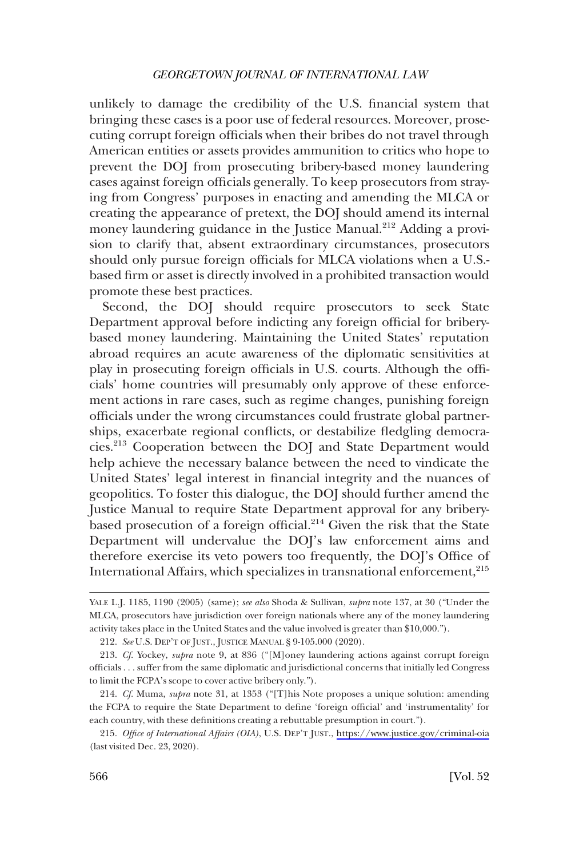unlikely to damage the credibility of the U.S. financial system that bringing these cases is a poor use of federal resources. Moreover, prosecuting corrupt foreign officials when their bribes do not travel through American entities or assets provides ammunition to critics who hope to prevent the DOJ from prosecuting bribery-based money laundering cases against foreign officials generally. To keep prosecutors from straying from Congress' purposes in enacting and amending the MLCA or creating the appearance of pretext, the DOJ should amend its internal money laundering guidance in the Justice Manual.<sup>212</sup> Adding a provision to clarify that, absent extraordinary circumstances, prosecutors should only pursue foreign officials for MLCA violations when a U.S. based firm or asset is directly involved in a prohibited transaction would promote these best practices.

Second, the DOJ should require prosecutors to seek State Department approval before indicting any foreign official for briberybased money laundering. Maintaining the United States' reputation abroad requires an acute awareness of the diplomatic sensitivities at play in prosecuting foreign officials in U.S. courts. Although the officials' home countries will presumably only approve of these enforcement actions in rare cases, such as regime changes, punishing foreign officials under the wrong circumstances could frustrate global partnerships, exacerbate regional conflicts, or destabilize fledgling democracies.213 Cooperation between the DOJ and State Department would help achieve the necessary balance between the need to vindicate the United States' legal interest in financial integrity and the nuances of geopolitics. To foster this dialogue, the DOJ should further amend the Justice Manual to require State Department approval for any briberybased prosecution of a foreign official.<sup>214</sup> Given the risk that the State Department will undervalue the DOJ's law enforcement aims and therefore exercise its veto powers too frequently, the DOJ's Office of International Affairs, which specializes in transnational enforcement,<sup>215</sup>

YALE L.J. 1185, 1190 (2005) (same); *see also* Shoda & Sullivan, *supra* note 137, at 30 ("Under the MLCA, prosecutors have jurisdiction over foreign nationals where any of the money laundering activity takes place in the United States and the value involved is greater than \$10,000.").

<sup>212.</sup> *See* U.S. DEP'T OF JUST., JUSTICE MANUAL § 9-105.000 (2020).

<sup>213.</sup> *Cf.* Yockey, *supra* note 9, at 836 ("[M]oney laundering actions against corrupt foreign officials . . . suffer from the same diplomatic and jurisdictional concerns that initially led Congress to limit the FCPA's scope to cover active bribery only.").

<sup>214.</sup> *Cf.* Muma, *supra* note 31, at 1353 ("[T]his Note proposes a unique solution: amending the FCPA to require the State Department to define 'foreign official' and 'instrumentality' for each country, with these definitions creating a rebuttable presumption in court.").

*Office of International Affairs (OIA)*, U.S. DEP'T JUST., <https://www.justice.gov/criminal-oia> 215. (last visited Dec. 23, 2020).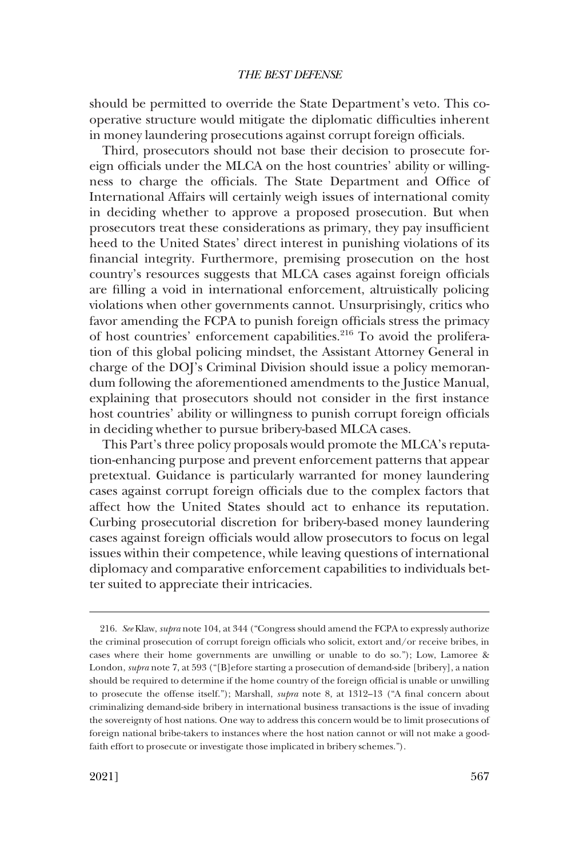should be permitted to override the State Department's veto. This cooperative structure would mitigate the diplomatic difficulties inherent in money laundering prosecutions against corrupt foreign officials.

Third, prosecutors should not base their decision to prosecute foreign officials under the MLCA on the host countries' ability or willingness to charge the officials. The State Department and Office of International Affairs will certainly weigh issues of international comity in deciding whether to approve a proposed prosecution. But when prosecutors treat these considerations as primary, they pay insufficient heed to the United States' direct interest in punishing violations of its financial integrity. Furthermore, premising prosecution on the host country's resources suggests that MLCA cases against foreign officials are filling a void in international enforcement, altruistically policing violations when other governments cannot. Unsurprisingly, critics who favor amending the FCPA to punish foreign officials stress the primacy of host countries' enforcement capabilities.<sup>216</sup> To avoid the proliferation of this global policing mindset, the Assistant Attorney General in charge of the DOJ's Criminal Division should issue a policy memorandum following the aforementioned amendments to the Justice Manual, explaining that prosecutors should not consider in the first instance host countries' ability or willingness to punish corrupt foreign officials in deciding whether to pursue bribery-based MLCA cases.

This Part's three policy proposals would promote the MLCA's reputation-enhancing purpose and prevent enforcement patterns that appear pretextual. Guidance is particularly warranted for money laundering cases against corrupt foreign officials due to the complex factors that affect how the United States should act to enhance its reputation. Curbing prosecutorial discretion for bribery-based money laundering cases against foreign officials would allow prosecutors to focus on legal issues within their competence, while leaving questions of international diplomacy and comparative enforcement capabilities to individuals better suited to appreciate their intricacies.

<sup>216.</sup> *See* Klaw, *supra* note 104, at 344 ("Congress should amend the FCPA to expressly authorize the criminal prosecution of corrupt foreign officials who solicit, extort and/or receive bribes, in cases where their home governments are unwilling or unable to do so."); Low, Lamoree & London, *supra* note 7, at 593 ("[B]efore starting a prosecution of demand-side [bribery], a nation should be required to determine if the home country of the foreign official is unable or unwilling to prosecute the offense itself."); Marshall, *supra* note 8, at 1312–13 ("A final concern about criminalizing demand-side bribery in international business transactions is the issue of invading the sovereignty of host nations. One way to address this concern would be to limit prosecutions of foreign national bribe-takers to instances where the host nation cannot or will not make a goodfaith effort to prosecute or investigate those implicated in bribery schemes.").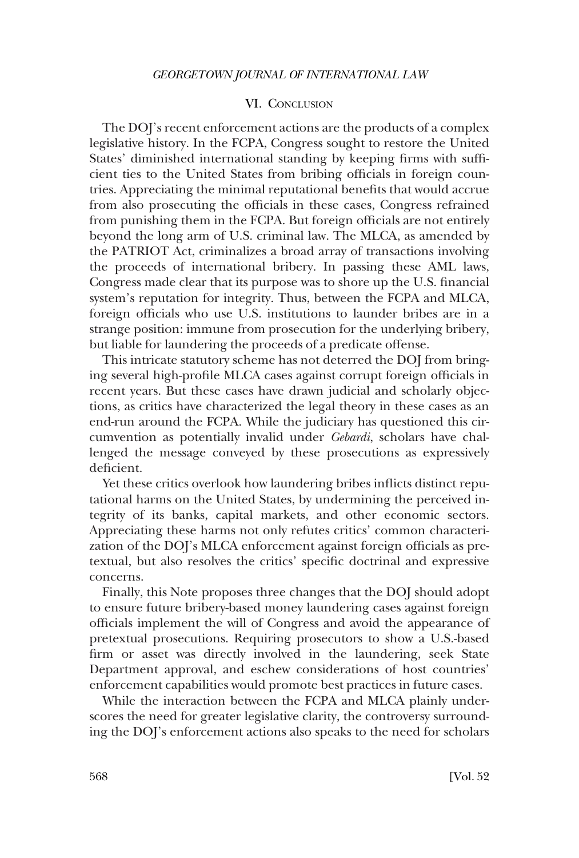# VI. CONCLUSION

<span id="page-33-0"></span>The DOJ's recent enforcement actions are the products of a complex legislative history. In the FCPA, Congress sought to restore the United States' diminished international standing by keeping firms with sufficient ties to the United States from bribing officials in foreign countries. Appreciating the minimal reputational benefits that would accrue from also prosecuting the officials in these cases, Congress refrained from punishing them in the FCPA. But foreign officials are not entirely beyond the long arm of U.S. criminal law. The MLCA, as amended by the PATRIOT Act, criminalizes a broad array of transactions involving the proceeds of international bribery. In passing these AML laws, Congress made clear that its purpose was to shore up the U.S. financial system's reputation for integrity. Thus, between the FCPA and MLCA, foreign officials who use U.S. institutions to launder bribes are in a strange position: immune from prosecution for the underlying bribery, but liable for laundering the proceeds of a predicate offense.

This intricate statutory scheme has not deterred the DOJ from bringing several high-profile MLCA cases against corrupt foreign officials in recent years. But these cases have drawn judicial and scholarly objections, as critics have characterized the legal theory in these cases as an end-run around the FCPA. While the judiciary has questioned this circumvention as potentially invalid under *Gebardi*, scholars have challenged the message conveyed by these prosecutions as expressively deficient.

Yet these critics overlook how laundering bribes inflicts distinct reputational harms on the United States, by undermining the perceived integrity of its banks, capital markets, and other economic sectors. Appreciating these harms not only refutes critics' common characterization of the DOJ's MLCA enforcement against foreign officials as pretextual, but also resolves the critics' specific doctrinal and expressive concerns.

Finally, this Note proposes three changes that the DOJ should adopt to ensure future bribery-based money laundering cases against foreign officials implement the will of Congress and avoid the appearance of pretextual prosecutions. Requiring prosecutors to show a U.S.-based firm or asset was directly involved in the laundering, seek State Department approval, and eschew considerations of host countries' enforcement capabilities would promote best practices in future cases.

While the interaction between the FCPA and MLCA plainly underscores the need for greater legislative clarity, the controversy surrounding the DOJ's enforcement actions also speaks to the need for scholars